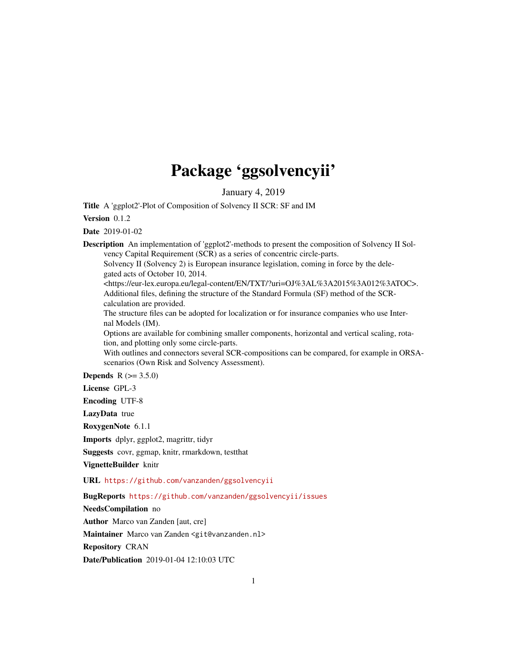# Package 'ggsolvencyii'

January 4, 2019

Title A 'ggplot2'-Plot of Composition of Solvency II SCR: SF and IM

Version 0.1.2

Date 2019-01-02

Description An implementation of 'ggplot2'-methods to present the composition of Solvency II Solvency Capital Requirement (SCR) as a series of concentric circle-parts.

Solvency II (Solvency 2) is European insurance legislation, coming in force by the delegated acts of October 10, 2014.

<https://eur-lex.europa.eu/legal-content/EN/TXT/?uri=OJ%3AL%3A2015%3A012%3ATOC>. Additional files, defining the structure of the Standard Formula (SF) method of the SCRcalculation are provided.

The structure files can be adopted for localization or for insurance companies who use Internal Models (IM).

Options are available for combining smaller components, horizontal and vertical scaling, rotation, and plotting only some circle-parts.

With outlines and connectors several SCR-compositions can be compared, for example in ORSAscenarios (Own Risk and Solvency Assessment).

**Depends**  $R (= 3.5.0)$ 

License GPL-3

Encoding UTF-8

LazyData true

RoxygenNote 6.1.1

Imports dplyr, ggplot2, magrittr, tidyr

Suggests covr, ggmap, knitr, rmarkdown, testthat

VignetteBuilder knitr

URL <https://github.com/vanzanden/ggsolvencyii>

BugReports <https://github.com/vanzanden/ggsolvencyii/issues>

NeedsCompilation no

Author Marco van Zanden [aut, cre]

Maintainer Marco van Zanden <git@vanzanden.nl>

Repository CRAN

Date/Publication 2019-01-04 12:10:03 UTC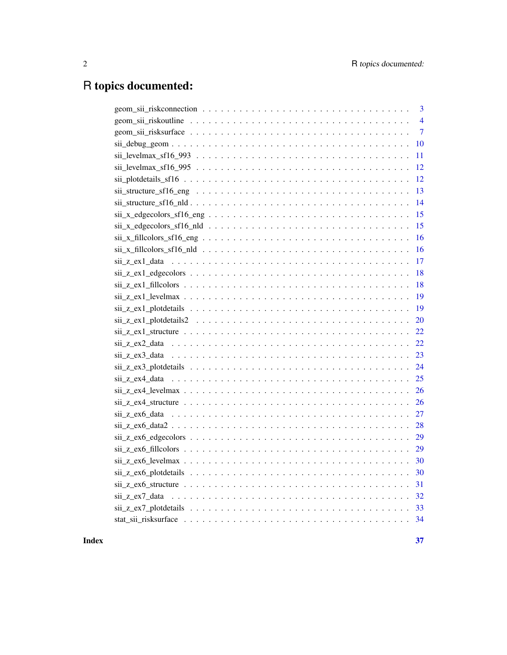## R topics documented:

| $\overline{3}$                                                                                                                                                                                                                                                                                                                                                                |
|-------------------------------------------------------------------------------------------------------------------------------------------------------------------------------------------------------------------------------------------------------------------------------------------------------------------------------------------------------------------------------|
| $\overline{4}$                                                                                                                                                                                                                                                                                                                                                                |
| $\overline{7}$                                                                                                                                                                                                                                                                                                                                                                |
| 10                                                                                                                                                                                                                                                                                                                                                                            |
| $sii$ $levelmax_s f16_993$ $\ldots$ $\ldots$ $\ldots$ $\ldots$ $\ldots$ $\ldots$ $\ldots$ $\ldots$ $\ldots$ $\ldots$ $\ldots$<br>11                                                                                                                                                                                                                                           |
| $sii$ $levelmax_s f16_995$ $\ldots$ $\ldots$ $\ldots$ $\ldots$ $\ldots$ $\ldots$ $\ldots$ $\ldots$ $\ldots$ $\ldots$ $\ldots$<br>12                                                                                                                                                                                                                                           |
| 12                                                                                                                                                                                                                                                                                                                                                                            |
| 13                                                                                                                                                                                                                                                                                                                                                                            |
| 14                                                                                                                                                                                                                                                                                                                                                                            |
| 15                                                                                                                                                                                                                                                                                                                                                                            |
| 15                                                                                                                                                                                                                                                                                                                                                                            |
| $sii_x_f1111colors_f116_eng$<br>16                                                                                                                                                                                                                                                                                                                                            |
| 16                                                                                                                                                                                                                                                                                                                                                                            |
| $\sin z$ $\text{ext}$ $\text{data}$ $\ldots$ $\ldots$ $\ldots$ $\ldots$ $\ldots$ $\ldots$ $\ldots$ $\ldots$ $\ldots$ $\ldots$ $\ldots$ $\ldots$<br>17                                                                                                                                                                                                                         |
| 18                                                                                                                                                                                                                                                                                                                                                                            |
| 18                                                                                                                                                                                                                                                                                                                                                                            |
| 19                                                                                                                                                                                                                                                                                                                                                                            |
| 19                                                                                                                                                                                                                                                                                                                                                                            |
| $\sin z$ ex 1 plot details $2 \dots \dots \dots \dots \dots \dots \dots \dots \dots \dots \dots \dots \dots$<br>20                                                                                                                                                                                                                                                            |
| $\sin z$ $\text{ext}$ $\text{ext}$ $\text{ext}$ $\text{ext}$ $\text{ext}$ $\text{ext}$ $\text{ext}$ $\text{ext}$ $\text{ext}$ $\text{ext}$ $\text{ext}$ $\text{ext}$ $\text{ext}$ $\text{ext}$ $\text{ext}$ $\text{ext}$ $\text{ext}$ $\text{ext}$ $\text{ext}$ $\text{ext}$ $\text{ext}$ $\text{ext}$ $\text{ext}$ $\text{ext}$ $\text{ext}$ $\text{ext}$ $\text{ext}$<br>22 |
| 22                                                                                                                                                                                                                                                                                                                                                                            |
| 23                                                                                                                                                                                                                                                                                                                                                                            |
|                                                                                                                                                                                                                                                                                                                                                                               |
| 25                                                                                                                                                                                                                                                                                                                                                                            |
| $\sin z$ $\cos 4$ $\sec 2x$ $\cos x$ $\cos x$ $\cos x$ $\cos x$ $\cos x$ $\cos x$ $\cos x$ $\cos x$ $\cos x$ $\cos x$ $\cos x$ $\cos x$ $\cos x$ $\cos x$ $\cos x$ $\cos x$ $\cos x$ $\cos x$ $\cos x$ $\cos x$ $\cos x$ $\cos x$ $\cos x$ $\cos x$ $\cos x$ $\cos x$ $\cos x$ $\cos x$ $\cos x$ $\cos x$ $\cos x$ $\cos x$ $\cos x$ $\$<br>26                                |
| 26                                                                                                                                                                                                                                                                                                                                                                            |
| 27<br>$\sin z$ $\cos 6$ $\sin 2$ $\cos 1$                                                                                                                                                                                                                                                                                                                                     |
| 28                                                                                                                                                                                                                                                                                                                                                                            |
| 29                                                                                                                                                                                                                                                                                                                                                                            |
| 29                                                                                                                                                                                                                                                                                                                                                                            |
| 30                                                                                                                                                                                                                                                                                                                                                                            |
| 30                                                                                                                                                                                                                                                                                                                                                                            |
| 31                                                                                                                                                                                                                                                                                                                                                                            |
| $\sin z$ $\cos 7$ $\cos 1$ $\cos 1$ $\cos 1$ $\cos 1$ $\cos 1$ $\cos 1$ $\cos 1$ $\cos 1$ $\cos 1$ $\cos 1$ $\cos 1$ $\cos 1$ $\cos 1$                                                                                                                                                                                                                                        |
|                                                                                                                                                                                                                                                                                                                                                                               |
|                                                                                                                                                                                                                                                                                                                                                                               |
|                                                                                                                                                                                                                                                                                                                                                                               |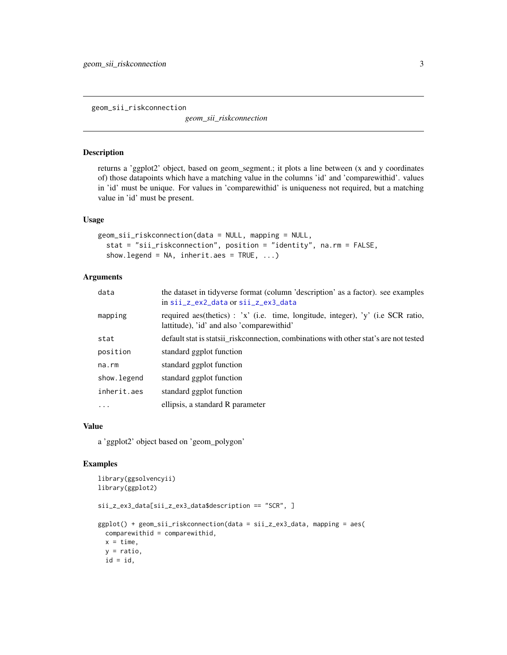<span id="page-2-0"></span>geom\_sii\_riskconnection

*geom\_sii\_riskconnection*

## Description

returns a 'ggplot2' object, based on geom\_segment.; it plots a line between (x and y coordinates of) those datapoints which have a matching value in the columns 'id' and 'comparewithid'. values in 'id' must be unique. For values in 'comparewithid' is uniqueness not required, but a matching value in 'id' must be present.

#### Usage

```
geom_sii_riskconnection(data = NULL, mapping = NULL,
  stat = "sii_riskconnection", position = "identity", na.rm = FALSE,
  show.legend = NA, inherit.aes = TRUE, ...)
```
## Arguments

| data        | the dataset in tidyverse format (column 'description' as a factor). see examples<br>in sii_z_ex2_data or sii_z_ex3_data       |
|-------------|-------------------------------------------------------------------------------------------------------------------------------|
| mapping     | required aes(thetics) : 'x' (i.e. time, longitude, integer), 'y' (i.e SCR ratio,<br>lattitude), 'id' and also 'comparewithid' |
| stat        | default stat is statsii_risk connection, combinations with other stat's are not tested                                        |
| position    | standard ggplot function                                                                                                      |
| na.rm       | standard ggplot function                                                                                                      |
| show.legend | standard ggplot function                                                                                                      |
| inherit.aes | standard ggplot function                                                                                                      |
| .           | ellipsis, a standard R parameter                                                                                              |

## Value

a 'ggplot2' object based on 'geom\_polygon'

```
library(ggsolvencyii)
library(ggplot2)
sii_z_ex3_data[sii_z_ex3_data$description == "SCR", ]
ggplot() + geom_sii_riskconnection(data = sii_z_ex3_data, mapping = aes(
  comparewithid = comparewithid,
  x = time,y = ratio,id = id,
```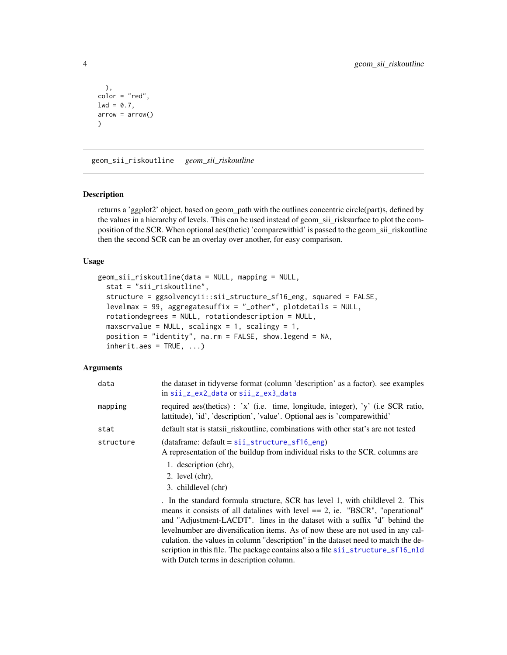```
),
color = "red",
1wd = 0.7,
arrow = arrow()\mathcal{L}
```
<span id="page-3-1"></span>geom\_sii\_riskoutline *geom\_sii\_riskoutline*

## Description

returns a 'ggplot2' object, based on geom\_path with the outlines concentric circle(part)s, defined by the values in a hierarchy of levels. This can be used instead of geom\_sii\_risksurface to plot the composition of the SCR. When optional aes(thetic) 'comparewithid' is passed to the geom\_sii\_riskoutline then the second SCR can be an overlay over another, for easy comparison.

## Usage

```
geom_sii_riskoutline(data = NULL, mapping = NULL,
  stat = "sii_riskoutline",
  structure = ggsolvencyii::sii_structure_sf16_eng, squared = FALSE,
  levelmax = 99, aggregatesuffix = "_other", plotdetails = NULL,
  rotationdegrees = NULL, rotationdescription = NULL,
  maxscrvalue = NULL, scalingx = 1, scalingy = 1,
  position = "identity", na.rm = FALSE, show.legend = NA,
  inherit.aes = TRUE, ...
```
## Arguments

| data      | the dataset in tidyverse format (column 'description' as a factor). see examples<br>in sii_z_ex2_data or sii_z_ex3_data                                                                                                                                                                                                                                                                                                                                                                                                                                  |
|-----------|----------------------------------------------------------------------------------------------------------------------------------------------------------------------------------------------------------------------------------------------------------------------------------------------------------------------------------------------------------------------------------------------------------------------------------------------------------------------------------------------------------------------------------------------------------|
| mapping   | required aes(thetics): 'x' (i.e. time, longitude, integer), 'y' (i.e SCR ratio,<br>lattitude), 'id', 'description', 'value'. Optional aes is 'compare withid'                                                                                                                                                                                                                                                                                                                                                                                            |
| stat      | default stat is statsii riskoutline, combinations with other stat's are not tested                                                                                                                                                                                                                                                                                                                                                                                                                                                                       |
| structure | $(dataframe: default = siizstructure_sf16_{eng})$<br>A representation of the buildup from individual risks to the SCR. columns are                                                                                                                                                                                                                                                                                                                                                                                                                       |
|           | 1. description (chr),<br>2. level $(chr)$ ,<br>3. childlevel (chr)                                                                                                                                                                                                                                                                                                                                                                                                                                                                                       |
|           | . In the standard formula structure, SCR has level 1, with childlevel 2. This<br>means it consists of all datalines with level $== 2$ , ie. "BSCR", "operational"<br>and "Adjustment-LACDT". lines in the dataset with a suffix "d" behind the<br>level number are diversification items. As of now these are not used in any cal-<br>culation. the values in column "description" in the dataset need to match the de-<br>scription in this file. The package contains also a file signal structure_sf16_nld<br>with Dutch terms in description column. |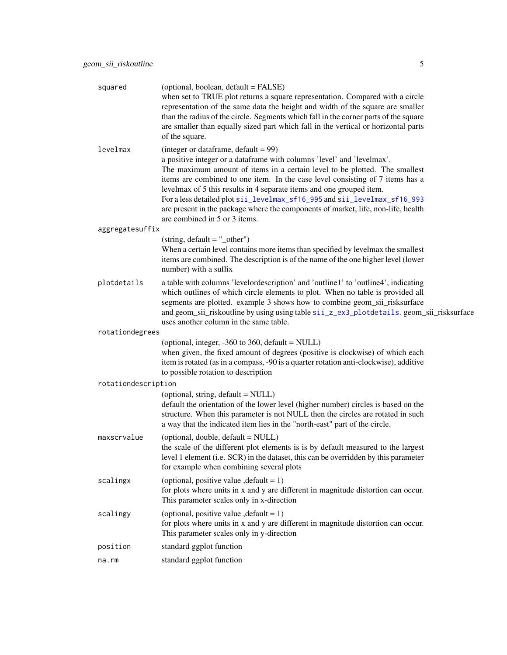<span id="page-4-0"></span>

| squared             | (optional, boolean, default = FALSE)<br>when set to TRUE plot returns a square representation. Compared with a circle<br>representation of the same data the height and width of the square are smaller<br>than the radius of the circle. Segments which fall in the corner parts of the square<br>are smaller than equally sized part which fall in the vertical or horizontal parts<br>of the square.                                                                                                                                                    |
|---------------------|------------------------------------------------------------------------------------------------------------------------------------------------------------------------------------------------------------------------------------------------------------------------------------------------------------------------------------------------------------------------------------------------------------------------------------------------------------------------------------------------------------------------------------------------------------|
| levelmax            | (integer or dataframe, $default = 99$ )<br>a positive integer or a dataframe with columns 'level' and 'levelmax'.<br>The maximum amount of items in a certain level to be plotted. The smallest<br>items are combined to one item. In the case level consisting of 7 items has a<br>levelmax of 5 this results in 4 separate items and one grouped item.<br>For a less detailed plot sii_levelmax_sf16_995 and sii_levelmax_sf16_993<br>are present in the package where the components of market, life, non-life, health<br>are combined in 5 or 3 items. |
| aggregatesuffix     |                                                                                                                                                                                                                                                                                                                                                                                                                                                                                                                                                            |
|                     | $(string, default = "other")$<br>When a certain level contains more items than specified by levelmax the smallest<br>items are combined. The description is of the name of the one higher level (lower<br>number) with a suffix                                                                                                                                                                                                                                                                                                                            |
| plotdetails         | a table with columns 'levelordescription' and 'outline1' to 'outline4', indicating<br>which outlines of which circle elements to plot. When no table is provided all<br>segments are plotted. example 3 shows how to combine geom_sii_risksurface<br>and geom_sii_riskoutline by using using table sii_z_ex3_plotdetails. geom_sii_risksurface<br>uses another column in the same table.                                                                                                                                                                   |
| rotationdegrees     |                                                                                                                                                                                                                                                                                                                                                                                                                                                                                                                                                            |
|                     | (optional, integer, -360 to 360, default = NULL)<br>when given, the fixed amount of degrees (positive is clockwise) of which each<br>item is rotated (as in a compass, -90 is a quarter rotation anti-clockwise), additive<br>to possible rotation to description                                                                                                                                                                                                                                                                                          |
| rotationdescription |                                                                                                                                                                                                                                                                                                                                                                                                                                                                                                                                                            |
|                     | (optional, string, default = NULL)<br>default the orientation of the lower level (higher number) circles is based on the<br>structure. When this parameter is not NULL then the circles are rotated in such<br>a way that the indicated item lies in the "north-east" part of the circle.                                                                                                                                                                                                                                                                  |
| maxscrvalue         | (optional, double, default = NULL)<br>the scale of the different plot elements is is by default measured to the largest<br>level 1 element (i.e. SCR) in the dataset, this can be overridden by this parameter<br>for example when combining several plots                                                                                                                                                                                                                                                                                                 |
| scalingx            | (optional, positive value, $default = 1$ )<br>for plots where units in x and y are different in magnitude distortion can occur.<br>This parameter scales only in x-direction                                                                                                                                                                                                                                                                                                                                                                               |
| scalingy            | (optional, positive value, $default = 1$ )<br>for plots where units in x and y are different in magnitude distortion can occur.<br>This parameter scales only in y-direction                                                                                                                                                                                                                                                                                                                                                                               |
| position            | standard ggplot function                                                                                                                                                                                                                                                                                                                                                                                                                                                                                                                                   |
| na.rm               | standard ggplot function                                                                                                                                                                                                                                                                                                                                                                                                                                                                                                                                   |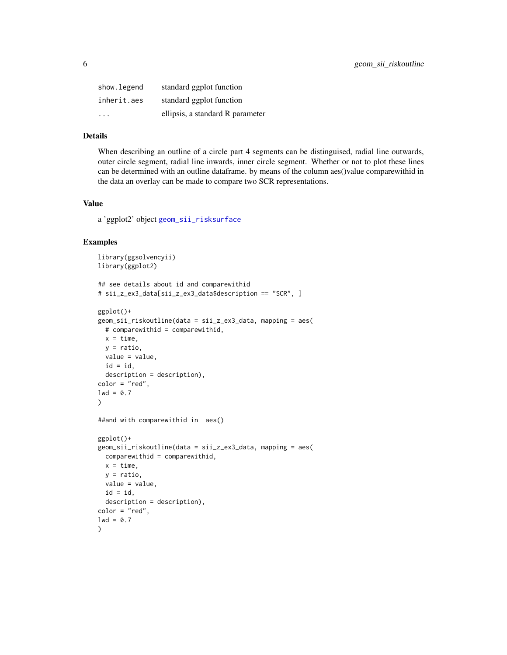<span id="page-5-0"></span>

| show.legend             | standard ggplot function         |
|-------------------------|----------------------------------|
| inherit.aes             | standard ggplot function         |
| $\cdot$ $\cdot$ $\cdot$ | ellipsis, a standard R parameter |

## Details

When describing an outline of a circle part 4 segments can be distinguised, radial line outwards, outer circle segment, radial line inwards, inner circle segment. Whether or not to plot these lines can be determined with an outline dataframe. by means of the column aes()value comparewithid in the data an overlay can be made to compare two SCR representations.

## Value

a 'ggplot2' object [geom\\_sii\\_risksurface](#page-6-1)

```
library(ggsolvencyii)
library(ggplot2)
## see details about id and comparewithid
# sii_z_ex3_data[sii_z_ex3_data$description == "SCR", ]
ggplot()+
geom_sii_riskoutline(data = sii_z_ex3_data, mapping = aes(
  # comparewithid = comparewithid,
 x = time.
 y = ratio,
 value = value,
  id = id,
  description = description),
color = "red",
1wd = 0.7)
##and with comparewithid in aes()
ggplot()+
geom_sii_riskoutline(data = sii_z_ex3_data, mapping = aes(
 comparewithid = comparewithid,
 x = time.
  y = ratio,
  value = value,
  id = id,
  description = description),
color = "red",
1wd = 0.7)
```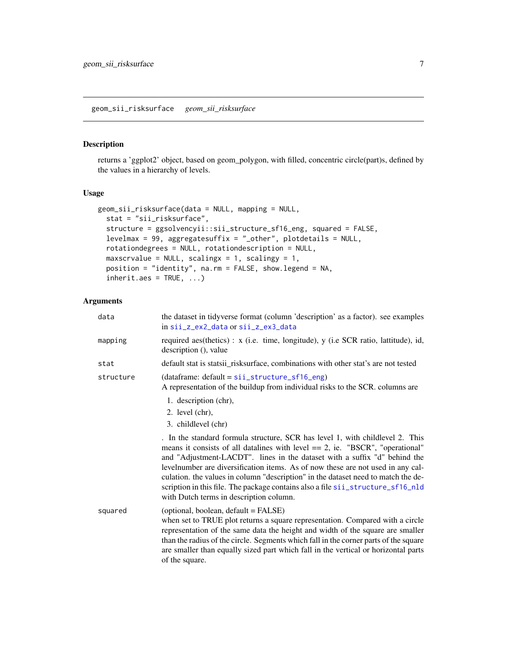## <span id="page-6-1"></span><span id="page-6-0"></span>Description

returns a 'ggplot2' object, based on geom\_polygon, with filled, concentric circle(part)s, defined by the values in a hierarchy of levels.

## Usage

```
geom_sii_risksurface(data = NULL, mapping = NULL,
 stat = "sii_risksurface",
  structure = ggsolvencyii::sii_structure_sf16_eng, squared = FALSE,
 levelmax = 99, aggregatesuffix = "_other", plotdetails = NULL,
  rotationdegrees = NULL, rotationdescription = NULL,
 maxscrvalue = NULL, scalingx = 1, scalingy = 1,
 position = "identity", na.rm = FALSE, show.legend = NA,
  inherit.aes = TRUE, ...
```
## Arguments

| data      | the dataset in tidyverse format (column 'description' as a factor). see examples<br>in sii_z_ex2_data or sii_z_ex3_data                                                                                                                                                                                                                                                                                                                                                                                                                              |
|-----------|------------------------------------------------------------------------------------------------------------------------------------------------------------------------------------------------------------------------------------------------------------------------------------------------------------------------------------------------------------------------------------------------------------------------------------------------------------------------------------------------------------------------------------------------------|
| mapping   | required aes(thetics): x (i.e. time, longitude), y (i.e SCR ratio, lattitude), id,<br>description (), value                                                                                                                                                                                                                                                                                                                                                                                                                                          |
| stat      | default stat is statsii_risksurface, combinations with other stat's are not tested                                                                                                                                                                                                                                                                                                                                                                                                                                                                   |
| structure | (dataframe: default = sii_structure_sf16_eng)<br>A representation of the buildup from individual risks to the SCR. columns are                                                                                                                                                                                                                                                                                                                                                                                                                       |
|           | 1. description (chr),<br>2. level $(chr)$ ,<br>3. childlevel (chr)                                                                                                                                                                                                                                                                                                                                                                                                                                                                                   |
|           | . In the standard formula structure, SCR has level 1, with childlevel 2. This<br>means it consists of all datalines with level $== 2$ , ie. "BSCR", "operational"<br>and "Adjustment-LACDT". lines in the dataset with a suffix "d" behind the<br>levelnumber are diversification items. As of now these are not used in any cal-<br>culation. the values in column "description" in the dataset need to match the de-<br>scription in this file. The package contains also a file sii_structure_sf16_nld<br>with Dutch terms in description column. |
| squared   | (optional, boolean, default = FALSE)<br>when set to TRUE plot returns a square representation. Compared with a circle<br>representation of the same data the height and width of the square are smaller<br>than the radius of the circle. Segments which fall in the corner parts of the square<br>are smaller than equally sized part which fall in the vertical or horizontal parts<br>of the square.                                                                                                                                              |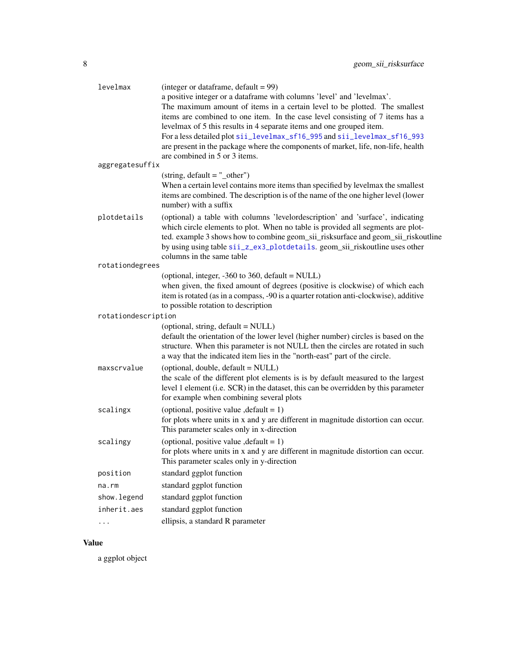<span id="page-7-0"></span>

| levelmax            | (integer or data frame, $default = 99$ )<br>a positive integer or a dataframe with columns 'level' and 'levelmax'.<br>The maximum amount of items in a certain level to be plotted. The smallest                                                                                                                                                                   |
|---------------------|--------------------------------------------------------------------------------------------------------------------------------------------------------------------------------------------------------------------------------------------------------------------------------------------------------------------------------------------------------------------|
|                     | items are combined to one item. In the case level consisting of 7 items has a                                                                                                                                                                                                                                                                                      |
|                     | levelmax of 5 this results in 4 separate items and one grouped item.<br>For a less detailed plot sii_levelmax_sf16_995 and sii_levelmax_sf16_993                                                                                                                                                                                                                   |
|                     | are present in the package where the components of market, life, non-life, health                                                                                                                                                                                                                                                                                  |
|                     | are combined in 5 or 3 items.                                                                                                                                                                                                                                                                                                                                      |
| aggregatesuffix     |                                                                                                                                                                                                                                                                                                                                                                    |
|                     | $(string, default = "other")$                                                                                                                                                                                                                                                                                                                                      |
|                     | When a certain level contains more items than specified by levelmax the smallest<br>items are combined. The description is of the name of the one higher level (lower<br>number) with a suffix                                                                                                                                                                     |
| plotdetails         | (optional) a table with columns 'levelordescription' and 'surface', indicating<br>which circle elements to plot. When no table is provided all segments are plot-<br>ted. example 3 shows how to combine geom_sii_risksurface and geom_sii_riskoutline<br>by using using table sii_z_ex3_plotdetails. geom_sii_riskoutline uses other<br>columns in the same table |
| rotationdegrees     |                                                                                                                                                                                                                                                                                                                                                                    |
|                     | (optional, integer, -360 to 360, default = NULL)                                                                                                                                                                                                                                                                                                                   |
|                     | when given, the fixed amount of degrees (positive is clockwise) of which each<br>item is rotated (as in a compass, -90 is a quarter rotation anti-clockwise), additive                                                                                                                                                                                             |
|                     | to possible rotation to description                                                                                                                                                                                                                                                                                                                                |
| rotationdescription |                                                                                                                                                                                                                                                                                                                                                                    |
|                     | (optional, string, default = NULL)                                                                                                                                                                                                                                                                                                                                 |
|                     | default the orientation of the lower level (higher number) circles is based on the<br>structure. When this parameter is not NULL then the circles are rotated in such<br>a way that the indicated item lies in the "north-east" part of the circle.                                                                                                                |
| maxscrvalue         | (optional, double, default = NULL)                                                                                                                                                                                                                                                                                                                                 |
|                     | the scale of the different plot elements is is by default measured to the largest<br>level 1 element (i.e. SCR) in the dataset, this can be overridden by this parameter<br>for example when combining several plots                                                                                                                                               |
| scalingx            | (optional, positive value, $default = 1$ )<br>for plots where units in x and y are different in magnitude distortion can occur.                                                                                                                                                                                                                                    |
|                     | This parameter scales only in x-direction                                                                                                                                                                                                                                                                                                                          |
| scalingy            | (optional, positive value, $default = 1$ )<br>for plots where units in x and y are different in magnitude distortion can occur.<br>This parameter scales only in y-direction                                                                                                                                                                                       |
| position            | standard ggplot function                                                                                                                                                                                                                                                                                                                                           |
| na.rm               | standard ggplot function                                                                                                                                                                                                                                                                                                                                           |
| show.legend         | standard ggplot function                                                                                                                                                                                                                                                                                                                                           |
| inherit.aes         | standard ggplot function                                                                                                                                                                                                                                                                                                                                           |
| .                   | ellipsis, a standard R parameter                                                                                                                                                                                                                                                                                                                                   |
|                     |                                                                                                                                                                                                                                                                                                                                                                    |

## Value

a ggplot object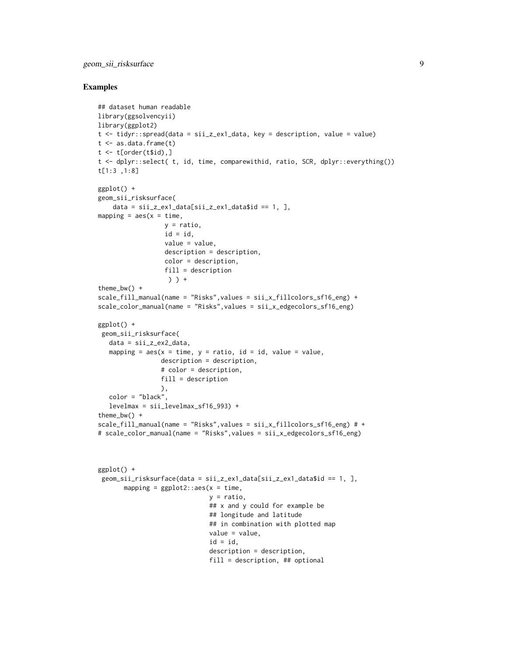## geom\_sii\_risksurface 9

```
## dataset human readable
library(ggsolvencyii)
library(ggplot2)
t <- tidyr::spread(data = sii_z_ex1_data, key = description, value = value)
t < -as.data.frame(t)t \leq t [order(t$id),]
t <- dplyr::select( t, id, time, comparewithid, ratio, SCR, dplyr::everything())
t[1:3 ,1:8]
ggplot() +
geom_sii_risksurface(
    data = \text{si}_2\text{ex1}_data[sii_z\text{ex1}_data$id == 1, ],mapping = \text{aes}(x = \text{time}),
                  y = ratio,
                  id = id.
                  value = value,
                  description = description,
                  color = description,
                  fill = description
                   ) ) +
theme_bw() +scale_fill_manual(name = "Risks", values = sii_x_fillcolors_sf16_eng) +scale_color_manual(name = "Risks",values = sii_x_edgecolors_sf16_eng)
ggplot() +
 geom_sii_risksurface(
   data = \text{si}_z<sub>_</sub>ex2_data,
   mapping = aes(x = time, y = ratio, id = id, value = value,description = description,
                 # color = description,
                 fill = description
                 ),
   color = "black",
   levelmax = sii_levelmax_sf16_993) +
theme_bw() +scale_fill_manual(name = "Risks",values = sii_x_fillcolors_sf16_eng) # +
# scale_color_manual(name = "Risks",values = sii_x_edgecolors_sf16_eng)
ggplot() +
 geom_sii_risksurface(data = sii_z_ex1_data[sii_z_ex1_data$id == 1, ],
       mapping = ggplot2::aes(x = time,y = ratio,## x and y could for example be
                               ## longitude and latitude
                               ## in combination with plotted map
                               value = value,
                               id = id,
                               description = description,
                               fill = description, ## optional
```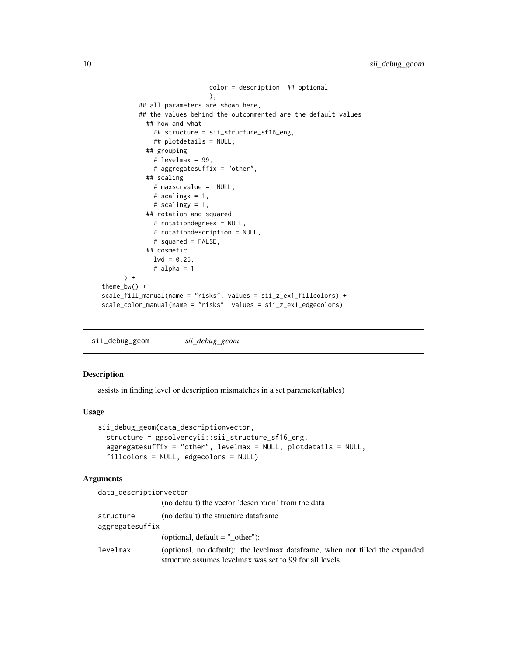```
color = description ## optional
                             ),
          ## all parameters are shown here,
          ## the values behind the outcommented are the default values
            ## how and what
              ## structure = sii_structure_sf16_eng,
              ## plotdetails = NULL,
            ## grouping
              # levelmax = 99,
              # aggregatesuffix = "other",
            ## scaling
              # maxscrvalue = NULL,
              # scalingx = 1,
              # scalingy = 1,
            ## rotation and squared
              # rotationdegrees = NULL,
              # rotationdescription = NULL,
              # squared = FALSE,
            ## cosmetic
              1wd = 0.25,
              # alpha = 1
      ) +theme_bw() +
scale_fill_manual(name = "risks", values = sii_z_ex1_fillcolors) +
scale_color_manual(name = "risks", values = sii_z_ex1_edgecolors)
```
sii\_debug\_geom *sii\_debug\_geom*

#### Description

assists in finding level or description mismatches in a set parameter(tables)

#### Usage

```
sii_debug_geom(data_descriptionvector,
  structure = ggsolvencyii::sii_structure_sf16_eng,
 aggregatesuffix = "other", levelmax = NULL, plotdetails = NULL,
 fillcolors = NULL, edgecolors = NULL)
```
## Arguments

| data_descriptionvector |                                                                                                                                          |
|------------------------|------------------------------------------------------------------------------------------------------------------------------------------|
|                        | (no default) the vector 'description' from the data                                                                                      |
| structure              | (no default) the structure dataframe                                                                                                     |
| aggregatesuffix        |                                                                                                                                          |
|                        | (optional, $default = "other"$ ):                                                                                                        |
| levelmax               | (optional, no default): the levelmax dataframe, when not filled the expanded<br>structure assumes levelmax was set to 99 for all levels. |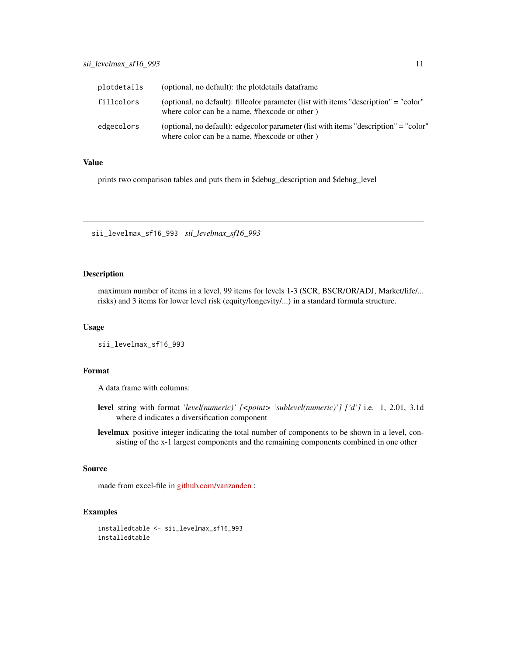<span id="page-10-0"></span>

| plotdetails | (optional, no default): the plotdetails dataframe                                                                                     |
|-------------|---------------------------------------------------------------------------------------------------------------------------------------|
| fillcolors  | (optional, no default): fillcolor parameter (list with items "description" = "color"<br>where color can be a name, #hexcode or other) |
| edgecolors  | (optional, no default): edgecolor parameter (list with items "description" = "color"<br>where color can be a name, #hexcode or other) |

## Value

prints two comparison tables and puts them in \$debug\_description and \$debug\_level

<span id="page-10-1"></span>sii\_levelmax\_sf16\_993 *sii\_levelmax\_sf16\_993*

## Description

maximum number of items in a level, 99 items for levels 1-3 (SCR, BSCR/OR/ADJ, Market/life/... risks) and 3 items for lower level risk (equity/longevity/...) in a standard formula structure.

## Usage

sii\_levelmax\_sf16\_993

## Format

A data frame with columns:

- level string with format *'level(numeric)' [<point> 'sublevel(numeric)'] ['d']* i.e. 1, 2.01, 3.1d where d indicates a diversification component
- levelmax positive integer indicating the total number of components to be shown in a level, consisting of the x-1 largest components and the remaining components combined in one other

## Source

made from excel-file in [github.com/vanzanden](https://github.com/vanzanden/ggsolvencyii/tree/master/_data_helperfiles) :

```
installedtable <- sii_levelmax_sf16_993
installedtable
```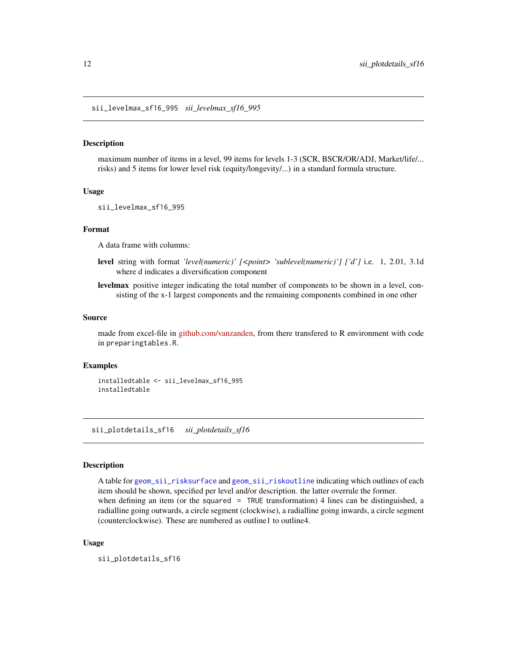<span id="page-11-1"></span><span id="page-11-0"></span>sii\_levelmax\_sf16\_995 *sii\_levelmax\_sf16\_995*

#### Description

maximum number of items in a level, 99 items for levels 1-3 (SCR, BSCR/OR/ADJ, Market/life/... risks) and 5 items for lower level risk (equity/longevity/...) in a standard formula structure.

#### Usage

sii\_levelmax\_sf16\_995

#### Format

A data frame with columns:

- level string with format *'level(numeric)' [<point> 'sublevel(numeric)'] ['d']* i.e. 1, 2.01, 3.1d where d indicates a diversification component
- levelmax positive integer indicating the total number of components to be shown in a level, consisting of the x-1 largest components and the remaining components combined in one other

#### Source

made from excel-file in [github.com/vanzanden,](https://github.com/vanzanden/ggsolvencyii/tree/master/_data_helperfiles) from there transfered to R environment with code in preparingtables.R.

#### Examples

installedtable <- sii\_levelmax\_sf16\_995 installedtable

sii\_plotdetails\_sf16 *sii\_plotdetails\_sf16*

#### Description

A table for [geom\\_sii\\_risksurface](#page-6-1) and [geom\\_sii\\_riskoutline](#page-3-1) indicating which outlines of each item should be shown, specified per level and/or description. the latter overrule the former. when defining an item (or the squared = TRUE transformation) 4 lines can be distinguished, a radialline going outwards, a circle segment (clockwise), a radialline going inwards, a circle segment (counterclockwise). These are numbered as outline1 to outline4.

#### Usage

sii\_plotdetails\_sf16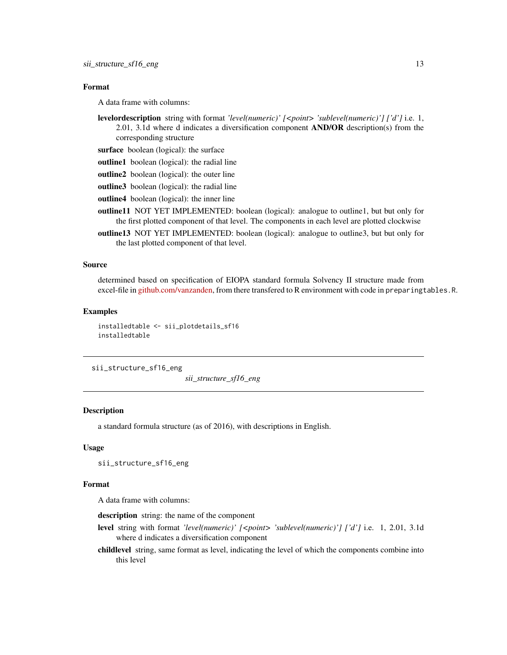## <span id="page-12-0"></span>Format

A data frame with columns:

- levelordescription string with format *'level(numeric)' [<point> 'sublevel(numeric)'] ['d']* i.e. 1, 2.01, 3.1d where d indicates a diversification component AND/OR description(s) from the corresponding structure
- surface boolean (logical): the surface
- outline1 boolean (logical): the radial line
- outline2 boolean (logical): the outer line
- outline3 boolean (logical): the radial line
- outline4 boolean (logical): the inner line
- outline11 NOT YET IMPLEMENTED: boolean (logical): analogue to outline1, but but only for the first plotted component of that level. The components in each level are plotted clockwise
- outline13 NOT YET IMPLEMENTED: boolean (logical): analogue to outline3, but but only for the last plotted component of that level.

## Source

determined based on specification of EIOPA standard formula Solvency II structure made from excel-file in [github.com/vanzanden,](https://github.com/vanzanden/ggsolvencyii/tree/master/_data_helperfiles) from there transfered to R environment with code in preparingtables.R.

#### Examples

installedtable <- sii\_plotdetails\_sf16 installedtable

<span id="page-12-1"></span>sii\_structure\_sf16\_eng

*sii\_structure\_sf16\_eng*

## **Description**

a standard formula structure (as of 2016), with descriptions in English.

## Usage

sii\_structure\_sf16\_eng

#### Format

A data frame with columns:

description string: the name of the component

- level string with format *'level(numeric)' [<point> 'sublevel(numeric)'] ['d']* i.e. 1, 2.01, 3.1d where d indicates a diversification component
- childlevel string, same format as level, indicating the level of which the components combine into this level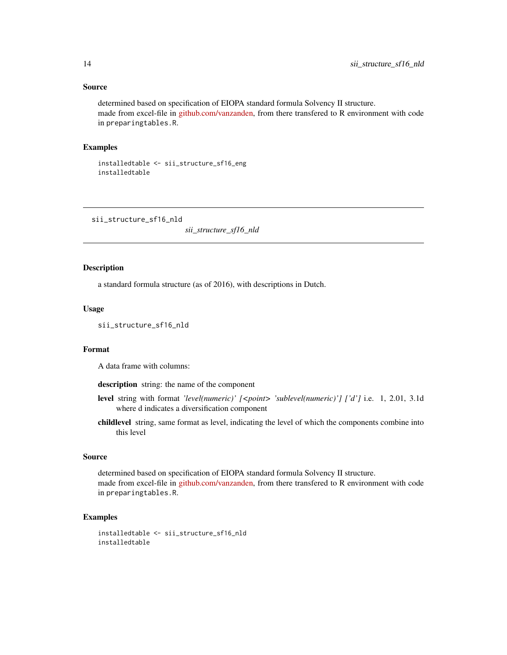## <span id="page-13-0"></span>Source

determined based on specification of EIOPA standard formula Solvency II structure. made from excel-file in [github.com/vanzanden,](https://github.com/vanzanden/ggsolvencyii/tree/master/_data_helperfiles) from there transfered to R environment with code in preparingtables.R.

#### Examples

```
installedtable <- sii_structure_sf16_eng
installedtable
```
<span id="page-13-1"></span>sii\_structure\_sf16\_nld

*sii\_structure\_sf16\_nld*

## Description

a standard formula structure (as of 2016), with descriptions in Dutch.

## Usage

```
sii_structure_sf16_nld
```
## Format

A data frame with columns:

description string: the name of the component

- level string with format *'level(numeric)' [<point> 'sublevel(numeric)'] ['d']* i.e. 1, 2.01, 3.1d where d indicates a diversification component
- childlevel string, same format as level, indicating the level of which the components combine into this level

#### Source

determined based on specification of EIOPA standard formula Solvency II structure. made from excel-file in [github.com/vanzanden,](https://github.com/vanzanden/ggsolvencyii/tree/master/_data_helperfiles) from there transfered to R environment with code in preparingtables.R.

```
installedtable <- sii_structure_sf16_nld
installedtable
```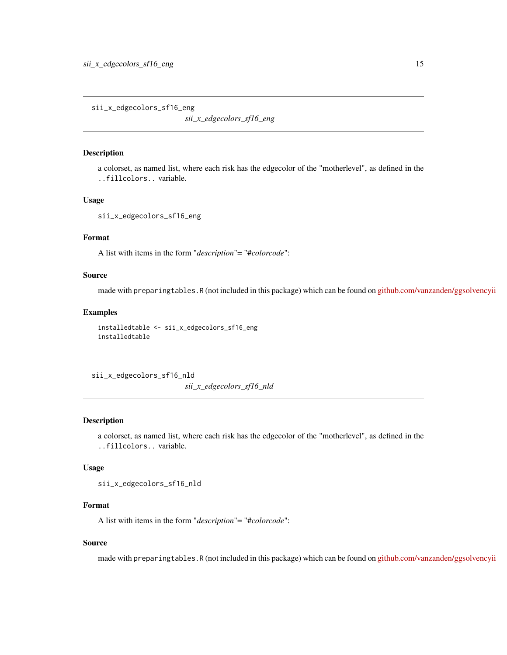<span id="page-14-0"></span>sii\_x\_edgecolors\_sf16\_eng

*sii\_x\_edgecolors\_sf16\_eng*

#### Description

a colorset, as named list, where each risk has the edgecolor of the "motherlevel", as defined in the ..fillcolors.. variable.

## Usage

sii\_x\_edgecolors\_sf16\_eng

## Format

A list with items in the form "*description*"= "#*colorcode*":

## Source

made with preparingtables.R (not included in this package) which can be found on [github.com/vanzanden/ggsolvencyii](https://github.com/vanzanden/ggsolvencyii/tree/master/_data_helperfiles)

## Examples

```
installedtable <- sii_x_edgecolors_sf16_eng
installedtable
```
sii\_x\_edgecolors\_sf16\_nld

*sii\_x\_edgecolors\_sf16\_nld*

## Description

a colorset, as named list, where each risk has the edgecolor of the "motherlevel", as defined in the ..fillcolors.. variable.

## Usage

sii\_x\_edgecolors\_sf16\_nld

## Format

A list with items in the form "*description*"= "#*colorcode*":

## Source

made with preparingtables.R (not included in this package) which can be found on [github.com/vanzanden/ggsolvencyii](https://github.com/vanzanden/ggsolvencyii/tree/master/_data_helperfiles)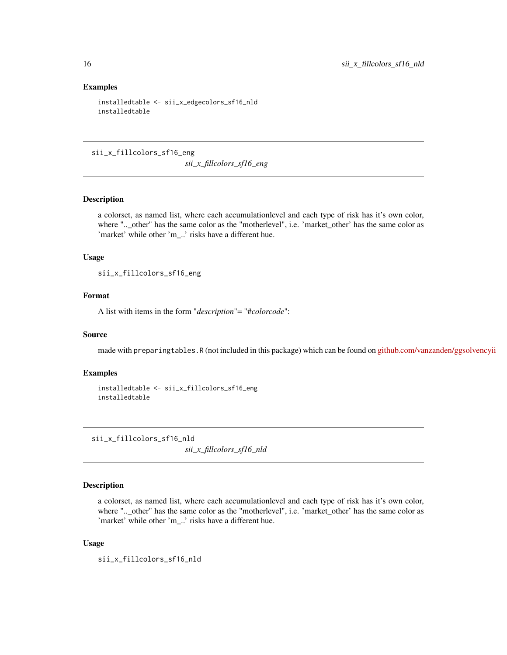## Examples

```
installedtable <- sii_x_edgecolors_sf16_nld
installedtable
```
sii\_x\_fillcolors\_sf16\_eng

*sii\_x\_fillcolors\_sf16\_eng*

## Description

a colorset, as named list, where each accumulationlevel and each type of risk has it's own color, where "..\_other" has the same color as the "motherlevel", i.e. 'market\_other' has the same color as 'market' while other 'm\_..' risks have a different hue.

#### Usage

sii\_x\_fillcolors\_sf16\_eng

## Format

A list with items in the form "*description*"= "#*colorcode*":

## Source

made with preparingtables.R (not included in this package) which can be found on [github.com/vanzanden/ggsolvencyii](https://github.com/vanzanden/ggsolvencyii/tree/master/_data_helperfiles)

## Examples

```
installedtable <- sii_x_fillcolors_sf16_eng
installedtable
```
sii\_x\_fillcolors\_sf16\_nld

*sii\_x\_fillcolors\_sf16\_nld*

## Description

a colorset, as named list, where each accumulationlevel and each type of risk has it's own color, where "..\_other" has the same color as the "motherlevel", i.e. 'market\_other' has the same color as 'market' while other 'm\_..' risks have a different hue.

## Usage

sii\_x\_fillcolors\_sf16\_nld

<span id="page-15-0"></span>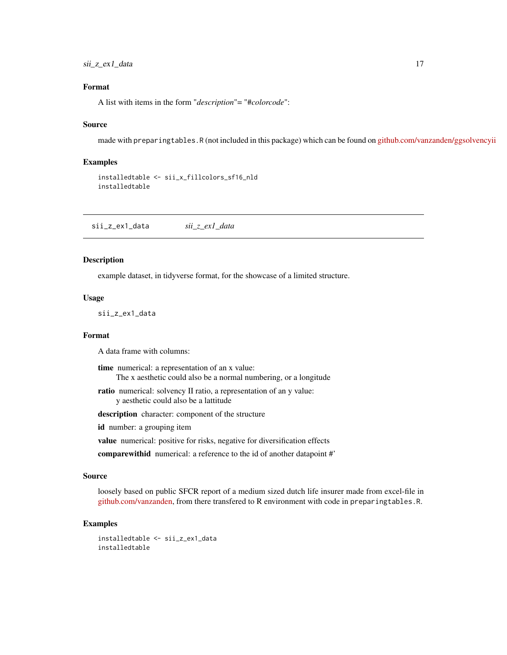<span id="page-16-0"></span>sii\_z\_ex1\_data 17

## Format

A list with items in the form "*description*"= "#*colorcode*":

## Source

made with preparingtables.R (not included in this package) which can be found on [github.com/vanzanden/ggsolvencyii](https://github.com/vanzanden/ggsolvencyii/tree/master/_data_helperfiles)

## Examples

```
installedtable <- sii_x_fillcolors_sf16_nld
installedtable
```
sii\_z\_ex1\_data *sii\_z\_ex1\_data*

## Description

example dataset, in tidyverse format, for the showcase of a limited structure.

## Usage

sii\_z\_ex1\_data

#### Format

A data frame with columns:

time numerical: a representation of an x value: The x aesthetic could also be a normal numbering, or a longitude

ratio numerical: solvency II ratio, a representation of an y value: y aesthetic could also be a lattitude

description character: component of the structure

id number: a grouping item

value numerical: positive for risks, negative for diversification effects

comparewithid numerical: a reference to the id of another datapoint #'

## Source

loosely based on public SFCR report of a medium sized dutch life insurer made from excel-file in [github.com/vanzanden,](https://github.com/vanzanden/ggsolvencyii/tree/master/_data_helperfiles) from there transfered to R environment with code in preparingtables.R.

## Examples

installedtable <- sii\_z\_ex1\_data installedtable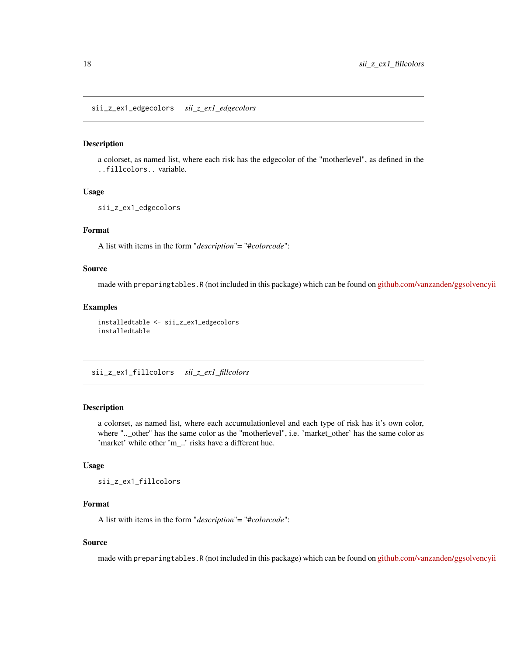#### <span id="page-17-0"></span>Description

a colorset, as named list, where each risk has the edgecolor of the "motherlevel", as defined in the ..fillcolors.. variable.

## Usage

```
sii_z_ex1_edgecolors
```
## Format

A list with items in the form "*description*"= "#*colorcode*":

## Source

made with preparingtables.R (not included in this package) which can be found on [github.com/vanzanden/ggsolvencyii](https://github.com/vanzanden/ggsolvencyii/tree/master/_data_helperfiles)

## Examples

installedtable <- sii\_z\_ex1\_edgecolors installedtable

sii\_z\_ex1\_fillcolors *sii\_z\_ex1\_fillcolors*

## Description

a colorset, as named list, where each accumulationlevel and each type of risk has it's own color, where "..\_other" has the same color as the "motherlevel", i.e. 'market\_other' has the same color as 'market' while other 'm\_..' risks have a different hue.

#### Usage

sii\_z\_ex1\_fillcolors

#### Format

A list with items in the form "*description*"= "#*colorcode*":

## Source

made with preparingtables.R (not included in this package) which can be found on [github.com/vanzanden/ggsolvencyii](https://github.com/vanzanden/ggsolvencyii/tree/master/_data_helperfiles)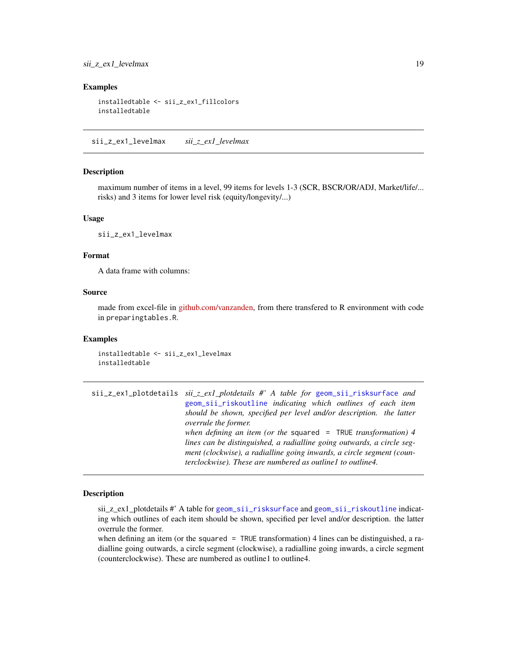## <span id="page-18-0"></span>sii\_z\_ex1\_levelmax 19

## Examples

```
installedtable <- sii_z_ex1_fillcolors
installedtable
```
sii\_z\_ex1\_levelmax *sii\_z\_ex1\_levelmax*

## Description

maximum number of items in a level, 99 items for levels 1-3 (SCR, BSCR/OR/ADJ, Market/life/... risks) and 3 items for lower level risk (equity/longevity/...)

## Usage

sii\_z\_ex1\_levelmax

## Format

A data frame with columns:

## Source

made from excel-file in [github.com/vanzanden,](https://github.com/vanzanden/ggsolvencyii/tree/master/_data_helperfiles) from there transfered to R environment with code in preparingtables.R.

## Examples

installedtable <- sii\_z\_ex1\_levelmax installedtable

sii\_z\_ex1\_plotdetails *sii\_z\_ex1\_plotdetails #' A table for* [geom\\_sii\\_risksurface](#page-6-1) *and* [geom\\_sii\\_riskoutline](#page-3-1) *indicating which outlines of each item should be shown, specified per level and/or description. the latter overrule the former. when defining an item (or the* squared = TRUE *transformation) 4 lines can be distinguished, a radialline going outwards, a circle segment (clockwise), a radialline going inwards, a circle segment (counterclockwise). These are numbered as outline1 to outline4.*

## Description

sii\_z\_ex1\_plotdetails #' A table for [geom\\_sii\\_risksurface](#page-6-1) and [geom\\_sii\\_riskoutline](#page-3-1) indicating which outlines of each item should be shown, specified per level and/or description. the latter overrule the former.

when defining an item (or the squared  $=$  TRUE transformation) 4 lines can be distinguished, a radialline going outwards, a circle segment (clockwise), a radialline going inwards, a circle segment (counterclockwise). These are numbered as outline1 to outline4.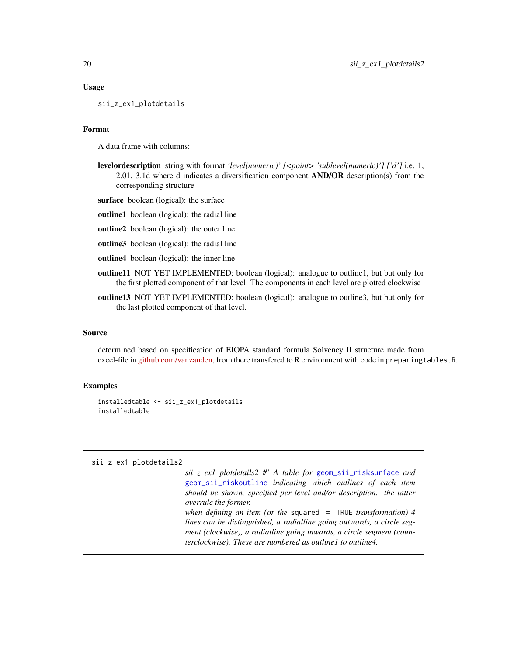## <span id="page-19-0"></span>Usage

sii\_z\_ex1\_plotdetails

## Format

A data frame with columns:

- **levelordescription** string with format *'level(numeric)'*  $\leq$ *point> 'sublevel(numeric)'*  $\int$   $\int d'$  i.e. 1, 2.01, 3.1d where d indicates a diversification component  $AND/OR$  description(s) from the corresponding structure
- surface boolean (logical): the surface
- outline1 boolean (logical): the radial line
- outline2 boolean (logical): the outer line
- outline3 boolean (logical): the radial line
- outline4 boolean (logical): the inner line
- outline11 NOT YET IMPLEMENTED: boolean (logical): analogue to outline1, but but only for the first plotted component of that level. The components in each level are plotted clockwise
- outline13 NOT YET IMPLEMENTED: boolean (logical): analogue to outline3, but but only for the last plotted component of that level.

## Source

determined based on specification of EIOPA standard formula Solvency II structure made from excel-file in [github.com/vanzanden,](https://github.com/vanzanden/ggsolvencyii/tree/master/_data_helperfiles) from there transfered to R environment with code in preparingtables.R.

## Examples

```
installedtable <- sii_z_ex1_plotdetails
installedtable
```
#### sii\_z\_ex1\_plotdetails2

*sii\_z\_ex1\_plotdetails2 #' A table for* [geom\\_sii\\_risksurface](#page-6-1) *and* [geom\\_sii\\_riskoutline](#page-3-1) *indicating which outlines of each item should be shown, specified per level and/or description. the latter overrule the former. when defining an item (or the* squared = TRUE *transformation) 4 lines can be distinguished, a radialline going outwards, a circle segment (clockwise), a radialline going inwards, a circle segment (counterclockwise). These are numbered as outline1 to outline4.*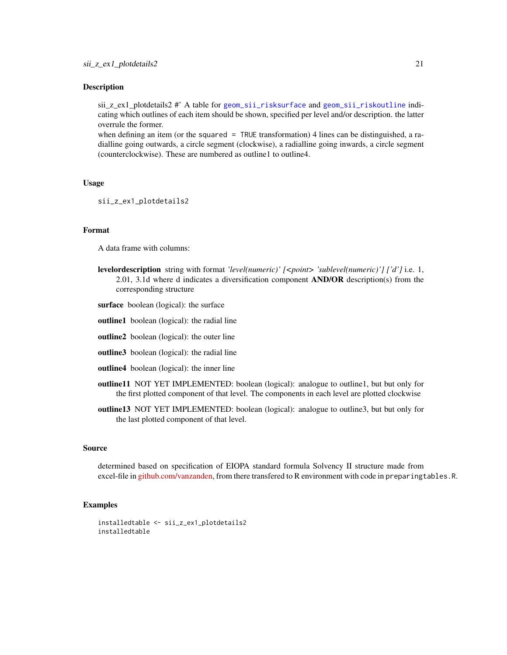## <span id="page-20-0"></span>Description

sii\_z\_ex1\_plotdetails2 #' A table for [geom\\_sii\\_risksurface](#page-6-1) and [geom\\_sii\\_riskoutline](#page-3-1) indicating which outlines of each item should be shown, specified per level and/or description. the latter overrule the former.

when defining an item (or the squared = TRUE transformation) 4 lines can be distinguished, a radialline going outwards, a circle segment (clockwise), a radialline going inwards, a circle segment (counterclockwise). These are numbered as outline1 to outline4.

#### Usage

sii\_z\_ex1\_plotdetails2

#### Format

A data frame with columns:

- levelordescription string with format *'level(numeric)' [<point> 'sublevel(numeric)'] ['d']* i.e. 1, 2.01, 3.1d where d indicates a diversification component  $AND/OR$  description(s) from the corresponding structure
- surface boolean (logical): the surface
- outline1 boolean (logical): the radial line
- outline2 boolean (logical): the outer line
- outline3 boolean (logical): the radial line
- outline4 boolean (logical): the inner line
- outline11 NOT YET IMPLEMENTED: boolean (logical): analogue to outline1, but but only for the first plotted component of that level. The components in each level are plotted clockwise
- outline13 NOT YET IMPLEMENTED: boolean (logical): analogue to outline3, but but only for the last plotted component of that level.

## Source

determined based on specification of EIOPA standard formula Solvency II structure made from excel-file in [github.com/vanzanden,](https://github.com/vanzanden/ggsolvencyii/tree/master/_data_helperfiles) from there transfered to R environment with code in preparingtables.R.

```
installedtable <- sii_z_ex1_plotdetails2
installedtable
```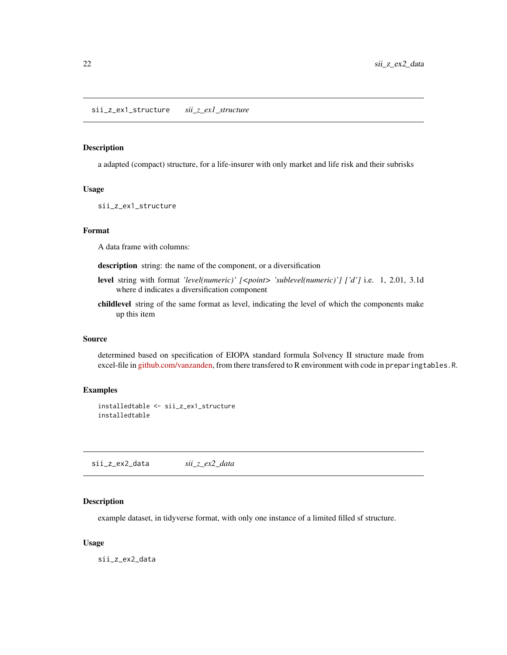#### <span id="page-21-0"></span>Description

a adapted (compact) structure, for a life-insurer with only market and life risk and their subrisks

## Usage

sii\_z\_ex1\_structure

## Format

A data frame with columns:

description string: the name of the component, or a diversification

- level string with format *'level(numeric)' [<point> 'sublevel(numeric)'] ['d']* i.e. 1, 2.01, 3.1d where d indicates a diversification component
- childlevel string of the same format as level, indicating the level of which the components make up this item

## Source

determined based on specification of EIOPA standard formula Solvency II structure made from excel-file in [github.com/vanzanden,](https://github.com/vanzanden/ggsolvencyii/tree/master/_data_helperfiles) from there transfered to R environment with code in preparingtables.R.

## Examples

```
installedtable <- sii_z_ex1_structure
installedtable
```
<span id="page-21-1"></span>sii\_z\_ex2\_data *sii\_z\_ex2\_data*

#### Description

example dataset, in tidyverse format, with only one instance of a limited filled sf structure.

#### Usage

sii\_z\_ex2\_data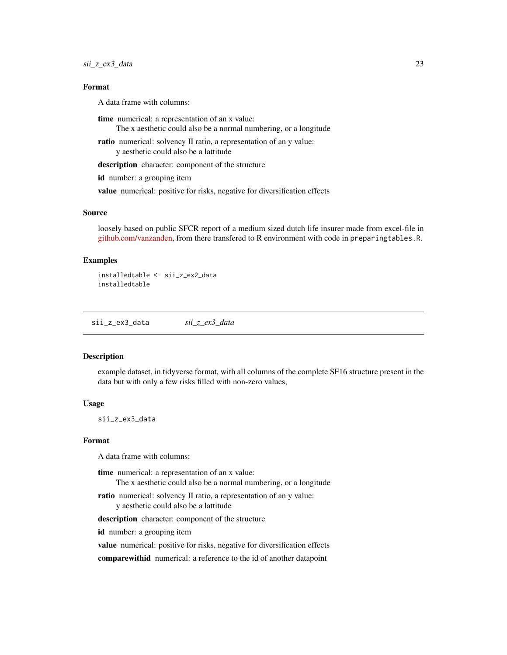## <span id="page-22-0"></span>Format

A data frame with columns:

time numerical: a representation of an x value: The x aesthetic could also be a normal numbering, or a longitude

ratio numerical: solvency II ratio, a representation of an y value: y aesthetic could also be a lattitude

description character: component of the structure

id number: a grouping item

value numerical: positive for risks, negative for diversification effects

## Source

loosely based on public SFCR report of a medium sized dutch life insurer made from excel-file in [github.com/vanzanden,](https://github.com/vanzanden/ggsolvencyii/tree/master/_data_helperfiles) from there transfered to R environment with code in preparingtables.R.

## Examples

```
installedtable <- sii_z_ex2_data
installedtable
```
<span id="page-22-1"></span>sii\_z\_ex3\_data *sii\_z\_ex3\_data*

#### Description

example dataset, in tidyverse format, with all columns of the complete SF16 structure present in the data but with only a few risks filled with non-zero values,

## Usage

sii\_z\_ex3\_data

## Format

A data frame with columns:

time numerical: a representation of an x value:

The x aesthetic could also be a normal numbering, or a longitude

ratio numerical: solvency II ratio, a representation of an y value: y aesthetic could also be a lattitude

description character: component of the structure

id number: a grouping item

value numerical: positive for risks, negative for diversification effects

comparewithid numerical: a reference to the id of another datapoint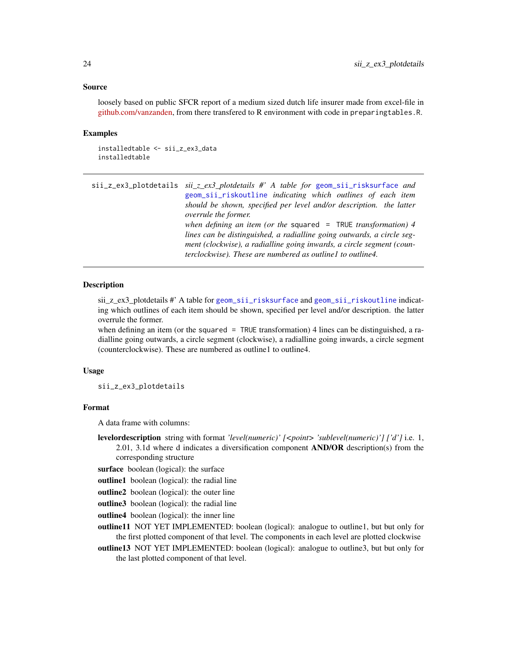## <span id="page-23-0"></span>Source

loosely based on public SFCR report of a medium sized dutch life insurer made from excel-file in [github.com/vanzanden,](https://github.com/vanzanden/ggsolvencyii/tree/master/_data_helperfiles) from there transfered to R environment with code in preparingtables.R.

## Examples

```
installedtable <- sii_z_ex3_data
installedtable
```
<span id="page-23-1"></span>sii\_z\_ex3\_plotdetails *sii\_z\_ex3\_plotdetails #' A table for* [geom\\_sii\\_risksurface](#page-6-1) *and* [geom\\_sii\\_riskoutline](#page-3-1) *indicating which outlines of each item should be shown, specified per level and/or description. the latter overrule the former. when defining an item (or the* squared = TRUE *transformation) 4 lines can be distinguished, a radialline going outwards, a circle segment (clockwise), a radialline going inwards, a circle segment (counterclockwise). These are numbered as outline1 to outline4.*

## Description

sii\_z\_ex3\_plotdetails #' A table for [geom\\_sii\\_risksurface](#page-6-1) and [geom\\_sii\\_riskoutline](#page-3-1) indicating which outlines of each item should be shown, specified per level and/or description. the latter overrule the former.

when defining an item (or the squared  $=$  TRUE transformation) 4 lines can be distinguished, a radialline going outwards, a circle segment (clockwise), a radialline going inwards, a circle segment (counterclockwise). These are numbered as outline1 to outline4.

#### Usage

sii\_z\_ex3\_plotdetails

## Format

A data frame with columns:

levelordescription string with format *'level(numeric)' [<point> 'sublevel(numeric)'] ['d']* i.e. 1, 2.01, 3.1d where d indicates a diversification component  $AND/OR$  description(s) from the corresponding structure

- surface boolean (logical): the surface
- outline1 boolean (logical): the radial line
- outline2 boolean (logical): the outer line
- outline3 boolean (logical): the radial line
- outline4 boolean (logical): the inner line

outline11 NOT YET IMPLEMENTED: boolean (logical): analogue to outline1, but but only for the first plotted component of that level. The components in each level are plotted clockwise

outline13 NOT YET IMPLEMENTED: boolean (logical): analogue to outline3, but but only for the last plotted component of that level.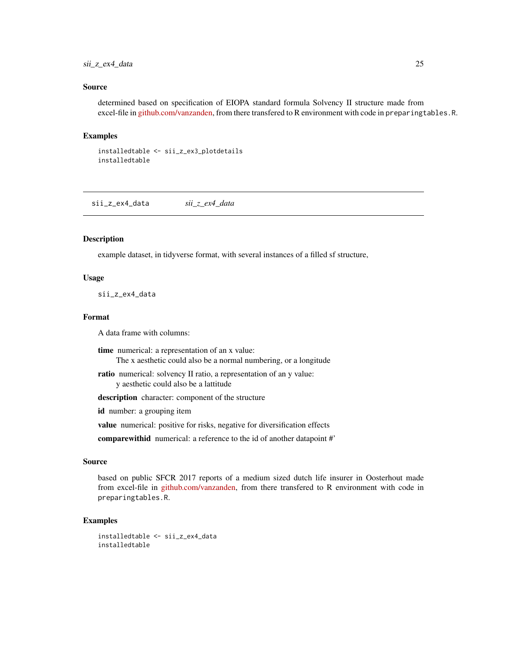## <span id="page-24-0"></span>sii\_z\_ex4\_data 25

## Source

determined based on specification of EIOPA standard formula Solvency II structure made from excel-file in [github.com/vanzanden,](https://github.com/vanzanden/ggsolvencyii/tree/master/_data_helperfiles) from there transfered to R environment with code in preparingtables.R.

## Examples

```
installedtable <- sii_z_ex3_plotdetails
installedtable
```
sii\_z\_ex4\_data *sii\_z\_ex4\_data*

## Description

example dataset, in tidyverse format, with several instances of a filled sf structure,

### Usage

sii\_z\_ex4\_data

#### Format

A data frame with columns:

time numerical: a representation of an x value: The x aesthetic could also be a normal numbering, or a longitude

ratio numerical: solvency II ratio, a representation of an y value: y aesthetic could also be a lattitude

description character: component of the structure

id number: a grouping item

value numerical: positive for risks, negative for diversification effects

comparewithid numerical: a reference to the id of another datapoint #'

## Source

based on public SFCR 2017 reports of a medium sized dutch life insurer in Oosterhout made from excel-file in [github.com/vanzanden,](https://github.com/vanzanden/ggsolvencyii/tree/master/_data_helperfiles) from there transfered to R environment with code in preparingtables.R.

```
installedtable <- sii_z_ex4_data
installedtable
```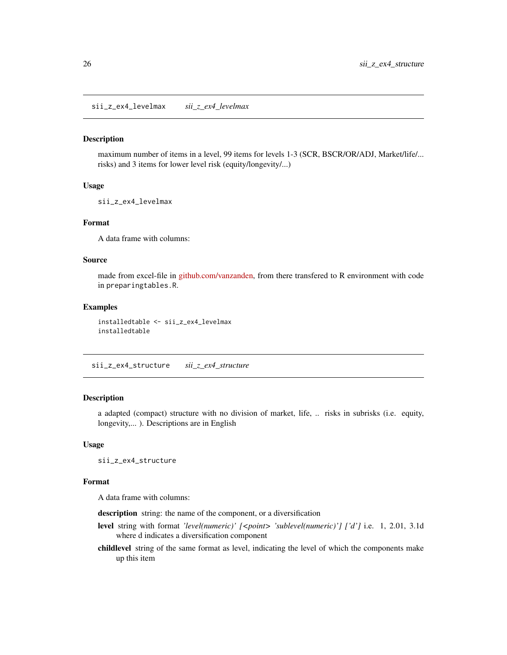<span id="page-25-0"></span>sii\_z\_ex4\_levelmax *sii\_z\_ex4\_levelmax*

#### Description

maximum number of items in a level, 99 items for levels 1-3 (SCR, BSCR/OR/ADJ, Market/life/... risks) and 3 items for lower level risk (equity/longevity/...)

## Usage

sii\_z\_ex4\_levelmax

## Format

A data frame with columns:

## Source

made from excel-file in [github.com/vanzanden,](https://github.com/vanzanden/ggsolvencyii/tree/master/_data_helperfiles) from there transfered to R environment with code in preparingtables.R.

## Examples

installedtable <- sii\_z\_ex4\_levelmax installedtable

sii\_z\_ex4\_structure *sii\_z\_ex4\_structure*

## Description

a adapted (compact) structure with no division of market, life, .. risks in subrisks (i.e. equity, longevity,... ). Descriptions are in English

#### Usage

sii\_z\_ex4\_structure

## Format

A data frame with columns:

description string: the name of the component, or a diversification

- level string with format *'level(numeric)' [<point> 'sublevel(numeric)'] ['d']* i.e. 1, 2.01, 3.1d where d indicates a diversification component
- childlevel string of the same format as level, indicating the level of which the components make up this item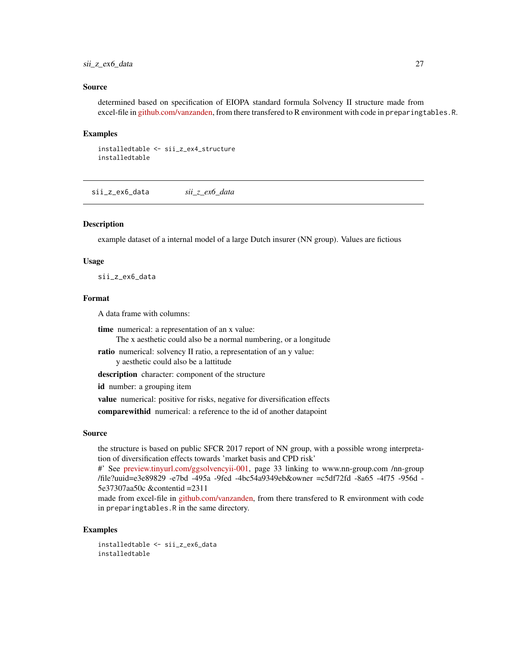## <span id="page-26-0"></span>sii\_z\_ex6\_data 27

## Source

determined based on specification of EIOPA standard formula Solvency II structure made from excel-file in [github.com/vanzanden,](https://github.com/vanzanden/ggsolvencyii/tree/master/_data_helperfiles) from there transfered to R environment with code in preparingtables.R.

#### Examples

```
installedtable <- sii_z_ex4_structure
installedtable
```
sii\_z\_ex6\_data *sii\_z\_ex6\_data*

## Description

example dataset of a internal model of a large Dutch insurer (NN group). Values are fictious

## Usage

sii\_z\_ex6\_data

#### Format

A data frame with columns:

time numerical: a representation of an x value: The x aesthetic could also be a normal numbering, or a longitude

ratio numerical: solvency II ratio, a representation of an y value: y aesthetic could also be a lattitude

description character: component of the structure

id number: a grouping item

value numerical: positive for risks, negative for diversification effects

comparewithid numerical: a reference to the id of another datapoint

## Source

the structure is based on public SFCR 2017 report of NN group, with a possible wrong interpretation of diversification effects towards 'market basis and CPD risk'

#' See [preview.tinyurl.com/ggsolvencyii-001,](https://preview.tinyurl.com/ggsolvencyii-001) page 33 linking to www.nn-group.com /nn-group /file?uuid=e3e89829 -e7bd -495a -9fed -4bc54a9349eb&owner =c5df72fd -8a65 -4f75 -956d - 5e37307aa50c &contentid =2311

made from excel-file in [github.com/vanzanden,](https://github.com/vanzanden/ggsolvencyii/tree/master/_data_helperfiles) from there transfered to R environment with code in preparingtables.R in the same directory.

#### Examples

installedtable <- sii\_z\_ex6\_data installedtable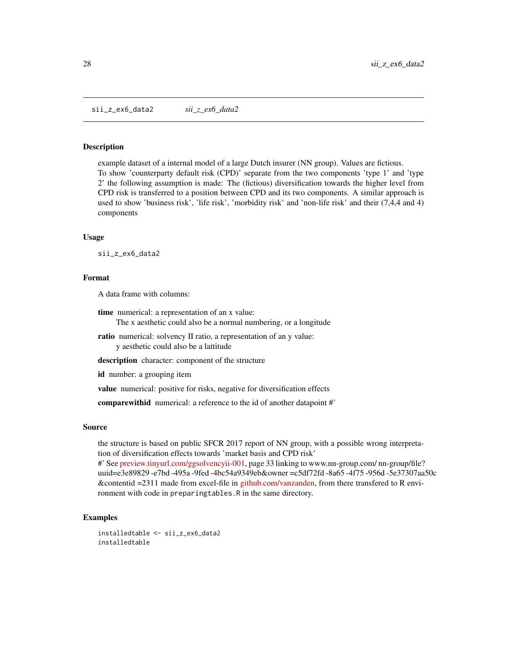#### <span id="page-27-0"></span>**Description**

example dataset of a internal model of a large Dutch insurer (NN group). Values are fictious. To show 'counterparty default risk (CPD)' separate from the two components 'type 1' and 'type 2' the following assumption is made: The (fictious) diversification towards the higher level from CPD risk is transferred to a position between CPD and its two components. A similar approach is used to show 'business risk', 'life risk', 'morbidity risk' and 'non-life risk' and their (7,4,4 and 4) components

### Usage

sii\_z\_ex6\_data2

## Format

A data frame with columns:

- time numerical: a representation of an x value: The x aesthetic could also be a normal numbering, or a longitude
- ratio numerical: solvency II ratio, a representation of an y value: y aesthetic could also be a lattitude
- description character: component of the structure

id number: a grouping item

value numerical: positive for risks, negative for diversification effects

comparewithid numerical: a reference to the id of another datapoint #'

## Source

the structure is based on public SFCR 2017 report of NN group, with a possible wrong interpretation of diversification effects towards 'market basis and CPD risk'

#' See [preview.tinyurl.com/ggsolvencyii-001,](https://preview.tinyurl.com/ggsolvencyii-001) page 33 linking to www.nn-group.com/ nn-group/file? uuid=e3e89829 -e7bd -495a -9fed -4bc54a9349eb&owner =c5df72fd -8a65 -4f75 -956d -5e37307aa50c &contentid =2311 made from excel-file in [github.com/vanzanden,](https://github.com/vanzanden/ggsolvencyii/tree/master/_data_helperfiles) from there transfered to R environment with code in preparingtables.R in the same directory.

```
installedtable <- sii_z_ex6_data2
installedtable
```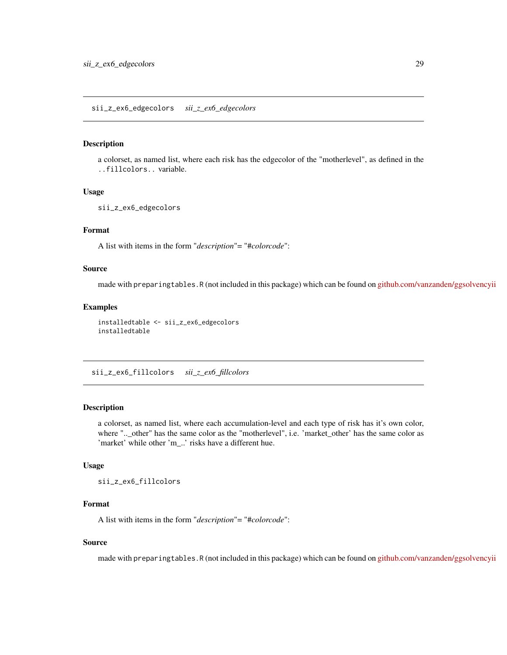<span id="page-28-0"></span>sii\_z\_ex6\_edgecolors *sii\_z\_ex6\_edgecolors*

## Description

a colorset, as named list, where each risk has the edgecolor of the "motherlevel", as defined in the ..fillcolors.. variable.

## Usage

```
sii_z_ex6_edgecolors
```
## Format

A list with items in the form "*description*"= "#*colorcode*":

## Source

made with preparingtables.R (not included in this package) which can be found on [github.com/vanzanden/ggsolvencyii](https://github.com/vanzanden/ggsolvencyii/tree/master/_data_helperfiles)

## Examples

installedtable <- sii\_z\_ex6\_edgecolors installedtable

sii\_z\_ex6\_fillcolors *sii\_z\_ex6\_fillcolors*

## Description

a colorset, as named list, where each accumulation-level and each type of risk has it's own color, where "..\_other" has the same color as the "motherlevel", i.e. 'market\_other' has the same color as 'market' while other 'm\_..' risks have a different hue.

## Usage

sii\_z\_ex6\_fillcolors

## Format

A list with items in the form "*description*"= "#*colorcode*":

## Source

made with preparingtables.R (not included in this package) which can be found on [github.com/vanzanden/ggsolvencyii](https://github.com/vanzanden/ggsolvencyii/tree/master/_data_helperfiles)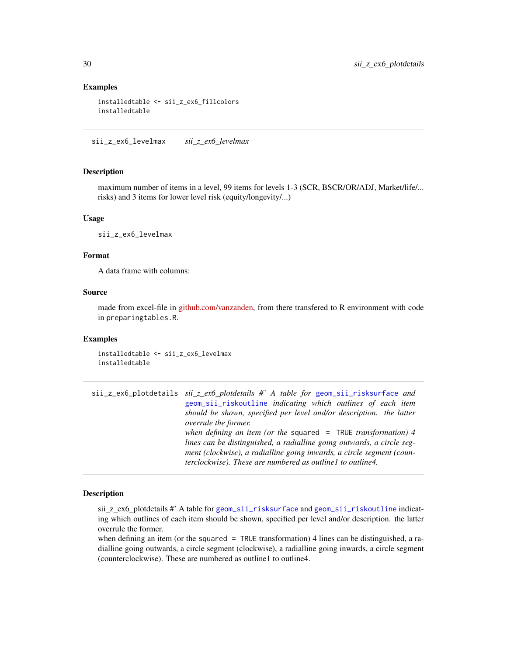## Examples

```
installedtable <- sii_z_ex6_fillcolors
installedtable
```
sii\_z\_ex6\_levelmax *sii\_z\_ex6\_levelmax*

## Description

maximum number of items in a level, 99 items for levels 1-3 (SCR, BSCR/OR/ADJ, Market/life/... risks) and 3 items for lower level risk (equity/longevity/...)

## Usage

sii\_z\_ex6\_levelmax

## Format

A data frame with columns:

## Source

made from excel-file in [github.com/vanzanden,](https://github.com/vanzanden/ggsolvencyii/tree/master/_data_helperfiles) from there transfered to R environment with code in preparingtables.R.

## Examples

installedtable <- sii\_z\_ex6\_levelmax installedtable

sii\_z\_ex6\_plotdetails *sii\_z\_ex6\_plotdetails #' A table for* [geom\\_sii\\_risksurface](#page-6-1) *and* [geom\\_sii\\_riskoutline](#page-3-1) *indicating which outlines of each item should be shown, specified per level and/or description. the latter overrule the former. when defining an item (or the* squared = TRUE *transformation) 4 lines can be distinguished, a radialline going outwards, a circle segment (clockwise), a radialline going inwards, a circle segment (counterclockwise). These are numbered as outline1 to outline4.*

## Description

sii\_z\_ex6\_plotdetails #' A table for [geom\\_sii\\_risksurface](#page-6-1) and [geom\\_sii\\_riskoutline](#page-3-1) indicating which outlines of each item should be shown, specified per level and/or description. the latter overrule the former.

when defining an item (or the squared  $=$  TRUE transformation) 4 lines can be distinguished, a radialline going outwards, a circle segment (clockwise), a radialline going inwards, a circle segment (counterclockwise). These are numbered as outline1 to outline4.

<span id="page-29-0"></span>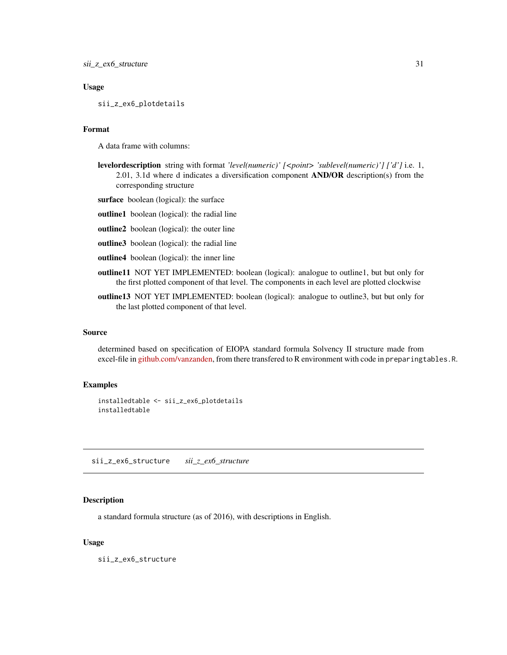## <span id="page-30-0"></span>Usage

sii\_z\_ex6\_plotdetails

## Format

A data frame with columns:

- levelordescription string with format *'level(numeric)' [<point> 'sublevel(numeric)'] ['d']* i.e. 1, 2.01, 3.1d where d indicates a diversification component  $AND/OR$  description(s) from the corresponding structure
- surface boolean (logical): the surface
- outline1 boolean (logical): the radial line
- outline2 boolean (logical): the outer line
- outline3 boolean (logical): the radial line
- outline4 boolean (logical): the inner line
- outline11 NOT YET IMPLEMENTED: boolean (logical): analogue to outline1, but but only for the first plotted component of that level. The components in each level are plotted clockwise
- outline13 NOT YET IMPLEMENTED: boolean (logical): analogue to outline3, but but only for the last plotted component of that level.

## Source

determined based on specification of EIOPA standard formula Solvency II structure made from excel-file in [github.com/vanzanden,](https://github.com/vanzanden/ggsolvencyii/tree/master/_data_helperfiles) from there transfered to R environment with code in preparingtables.R.

## Examples

installedtable <- sii\_z\_ex6\_plotdetails installedtable

sii\_z\_ex6\_structure *sii\_z\_ex6\_structure*

## Description

a standard formula structure (as of 2016), with descriptions in English.

## Usage

sii\_z\_ex6\_structure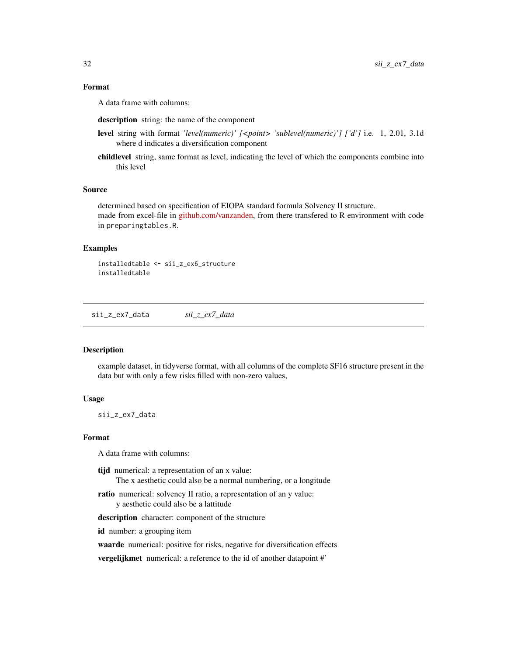## <span id="page-31-0"></span>Format

A data frame with columns:

description string: the name of the component

- level string with format *'level(numeric)' [<point> 'sublevel(numeric)'] ['d']* i.e. 1, 2.01, 3.1d where d indicates a diversification component
- childlevel string, same format as level, indicating the level of which the components combine into this level

## Source

determined based on specification of EIOPA standard formula Solvency II structure. made from excel-file in [github.com/vanzanden,](https://github.com/vanzanden/ggsolvencyii/tree/master/_data_helperfiles) from there transfered to R environment with code in preparingtables.R.

## Examples

installedtable <- sii\_z\_ex6\_structure installedtable

sii\_z\_ex7\_data *sii\_z\_ex7\_data*

## Description

example dataset, in tidyverse format, with all columns of the complete SF16 structure present in the data but with only a few risks filled with non-zero values,

#### Usage

sii\_z\_ex7\_data

## Format

A data frame with columns:

- tijd numerical: a representation of an x value: The x aesthetic could also be a normal numbering, or a longitude
- ratio numerical: solvency II ratio, a representation of an y value: y aesthetic could also be a lattitude

description character: component of the structure

id number: a grouping item

waarde numerical: positive for risks, negative for diversification effects

vergelijkmet numerical: a reference to the id of another datapoint #'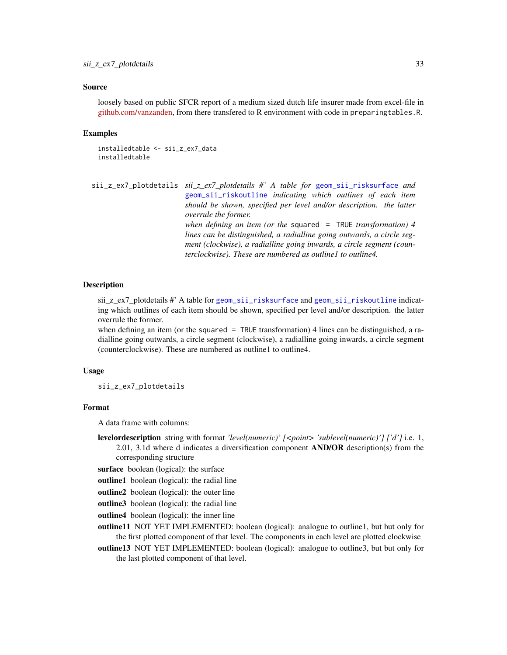## <span id="page-32-0"></span>Source

loosely based on public SFCR report of a medium sized dutch life insurer made from excel-file in [github.com/vanzanden,](https://github.com/vanzanden/ggsolvencyii/tree/master/_data_helperfiles) from there transfered to R environment with code in preparingtables.R.

## Examples

```
installedtable <- sii_z_ex7_data
installedtable
```
sii\_z\_ex7\_plotdetails *sii\_z\_ex7\_plotdetails #' A table for* [geom\\_sii\\_risksurface](#page-6-1) *and* [geom\\_sii\\_riskoutline](#page-3-1) *indicating which outlines of each item should be shown, specified per level and/or description. the latter overrule the former. when defining an item (or the* squared = TRUE *transformation) 4 lines can be distinguished, a radialline going outwards, a circle segment (clockwise), a radialline going inwards, a circle segment (counterclockwise). These are numbered as outline1 to outline4.*

## Description

sii\_z\_ex7\_plotdetails #' A table for [geom\\_sii\\_risksurface](#page-6-1) and [geom\\_sii\\_riskoutline](#page-3-1) indicating which outlines of each item should be shown, specified per level and/or description. the latter overrule the former.

when defining an item (or the squared  $=$  TRUE transformation) 4 lines can be distinguished, a radialline going outwards, a circle segment (clockwise), a radialline going inwards, a circle segment (counterclockwise). These are numbered as outline1 to outline4.

#### Usage

sii\_z\_ex7\_plotdetails

## Format

A data frame with columns:

levelordescription string with format *'level(numeric)' [<point> 'sublevel(numeric)'] ['d']* i.e. 1, 2.01, 3.1d where d indicates a diversification component  $AND/OR$  description(s) from the corresponding structure

- surface boolean (logical): the surface
- outline1 boolean (logical): the radial line
- outline2 boolean (logical): the outer line
- outline3 boolean (logical): the radial line
- outline4 boolean (logical): the inner line

outline11 NOT YET IMPLEMENTED: boolean (logical): analogue to outline1, but but only for the first plotted component of that level. The components in each level are plotted clockwise

outline13 NOT YET IMPLEMENTED: boolean (logical): analogue to outline3, but but only for the last plotted component of that level.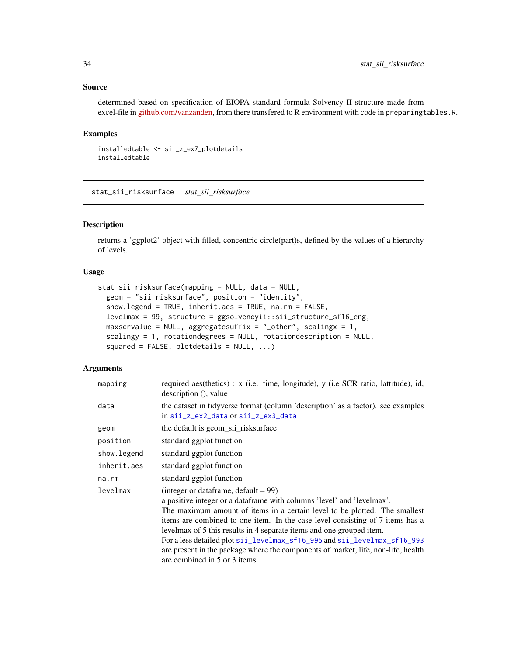## <span id="page-33-0"></span>Source

determined based on specification of EIOPA standard formula Solvency II structure made from excel-file in [github.com/vanzanden,](https://github.com/vanzanden/ggsolvencyii/tree/master/_data_helperfiles) from there transfered to R environment with code in preparingtables.R.

## Examples

```
installedtable <- sii_z_ex7_plotdetails
installedtable
```
stat\_sii\_risksurface *stat\_sii\_risksurface*

## Description

returns a 'ggplot2' object with filled, concentric circle(part)s, defined by the values of a hierarchy of levels.

## Usage

```
stat_sii_risksurface(mapping = NULL, data = NULL,
  geom = "sii_risksurface", position = "identity",
  show.legend = TRUE, inherit.aes = TRUE, na.rm = FALSE,
  levelmax = 99, structure = ggsolvencyii::sii_structure_sf16_eng,
 maxscrvalue = NULL, aggregatesuffix = "_other", scaling x = 1,scalingy = 1, rotationdegrees = NULL, rotationdescription = NULL,
  squared = FALSE, plot details = NULL, ...
```
## Arguments

| mapping     | required aes(thetics) : x (i.e. time, longitude), y (i.e SCR ratio, lattitude), id,<br>description (), value                                                                                                                                                                                                                                                                                                                                                                                                                                               |
|-------------|------------------------------------------------------------------------------------------------------------------------------------------------------------------------------------------------------------------------------------------------------------------------------------------------------------------------------------------------------------------------------------------------------------------------------------------------------------------------------------------------------------------------------------------------------------|
| data        | the dataset in tidyverse format (column 'description' as a factor). see examples<br>in sii_z_ex2_data or sii_z_ex3_data                                                                                                                                                                                                                                                                                                                                                                                                                                    |
| geom        | the default is geom_sii_risksurface                                                                                                                                                                                                                                                                                                                                                                                                                                                                                                                        |
| position    | standard ggplot function                                                                                                                                                                                                                                                                                                                                                                                                                                                                                                                                   |
| show.legend | standard ggplot function                                                                                                                                                                                                                                                                                                                                                                                                                                                                                                                                   |
| inherit.aes | standard ggplot function                                                                                                                                                                                                                                                                                                                                                                                                                                                                                                                                   |
| na.rm       | standard ggplot function                                                                                                                                                                                                                                                                                                                                                                                                                                                                                                                                   |
| levelmax    | (integer or dataframe, default = $99$ )<br>a positive integer or a dataframe with columns 'level' and 'levelmax'.<br>The maximum amount of items in a certain level to be plotted. The smallest<br>items are combined to one item. In the case level consisting of 7 items has a<br>levelmax of 5 this results in 4 separate items and one grouped item.<br>For a less detailed plot sii_levelmax_sf16_995 and sii_levelmax_sf16_993<br>are present in the package where the components of market, life, non-life, health<br>are combined in 5 or 3 items. |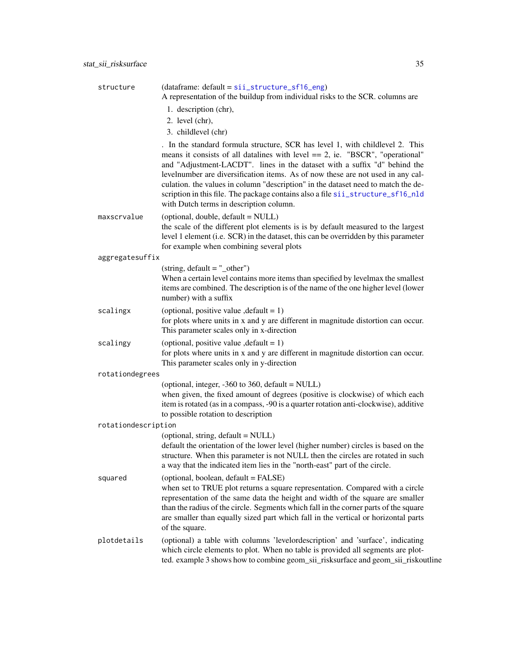<span id="page-34-0"></span>

| structure           | (dataframe: default = sii_structure_sf16_eng)<br>A representation of the buildup from individual risks to the SCR. columns are                                                                                                                                                                                                                                                                                                                                                                                                                       |
|---------------------|------------------------------------------------------------------------------------------------------------------------------------------------------------------------------------------------------------------------------------------------------------------------------------------------------------------------------------------------------------------------------------------------------------------------------------------------------------------------------------------------------------------------------------------------------|
|                     | 1. description (chr),                                                                                                                                                                                                                                                                                                                                                                                                                                                                                                                                |
|                     | 2. level (chr),<br>3. childlevel (chr)                                                                                                                                                                                                                                                                                                                                                                                                                                                                                                               |
|                     | . In the standard formula structure, SCR has level 1, with childlevel 2. This<br>means it consists of all datalines with level $== 2$ , ie. "BSCR", "operational"<br>and "Adjustment-LACDT". lines in the dataset with a suffix "d" behind the<br>levelnumber are diversification items. As of now these are not used in any cal-<br>culation. the values in column "description" in the dataset need to match the de-<br>scription in this file. The package contains also a file sii_structure_sf16_nld<br>with Dutch terms in description column. |
| maxscrvalue         | (optional, double, default = NULL)<br>the scale of the different plot elements is is by default measured to the largest<br>level 1 element (i.e. SCR) in the dataset, this can be overridden by this parameter<br>for example when combining several plots                                                                                                                                                                                                                                                                                           |
| aggregatesuffix     |                                                                                                                                                                                                                                                                                                                                                                                                                                                                                                                                                      |
|                     | $(string, default = "other")$<br>When a certain level contains more items than specified by levelmax the smallest<br>items are combined. The description is of the name of the one higher level (lower<br>number) with a suffix                                                                                                                                                                                                                                                                                                                      |
| scalingx            | (optional, positive value , default = $1$ )<br>for plots where units in x and y are different in magnitude distortion can occur.<br>This parameter scales only in x-direction                                                                                                                                                                                                                                                                                                                                                                        |
| scalingy            | (optional, positive value, $default = 1$ )<br>for plots where units in x and y are different in magnitude distortion can occur.<br>This parameter scales only in y-direction                                                                                                                                                                                                                                                                                                                                                                         |
| rotationdegrees     |                                                                                                                                                                                                                                                                                                                                                                                                                                                                                                                                                      |
|                     | (optional, integer, -360 to 360, default = NULL)<br>when given, the fixed amount of degrees (positive is clockwise) of which each<br>item is rotated (as in a compass, -90 is a quarter rotation anti-clockwise), additive<br>to possible rotation to description                                                                                                                                                                                                                                                                                    |
| rotationdescription |                                                                                                                                                                                                                                                                                                                                                                                                                                                                                                                                                      |
|                     | (optional, string, default = NULL)<br>default the orientation of the lower level (higher number) circles is based on the<br>structure. When this parameter is not NULL then the circles are rotated in such<br>a way that the indicated item lies in the "north-east" part of the circle.                                                                                                                                                                                                                                                            |
| squared             | (optional, boolean, default = FALSE)<br>when set to TRUE plot returns a square representation. Compared with a circle<br>representation of the same data the height and width of the square are smaller<br>than the radius of the circle. Segments which fall in the corner parts of the square<br>are smaller than equally sized part which fall in the vertical or horizontal parts<br>of the square.                                                                                                                                              |
| plotdetails         | (optional) a table with columns 'levelordescription' and 'surface', indicating<br>which circle elements to plot. When no table is provided all segments are plot-<br>ted. example 3 shows how to combine geom_sii_risksurface and geom_sii_riskoutline                                                                                                                                                                                                                                                                                               |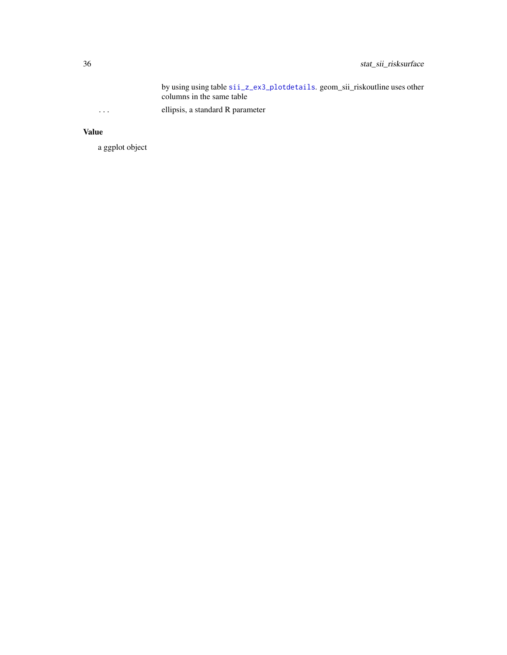<span id="page-35-0"></span>by using using table [sii\\_z\\_ex3\\_plotdetails](#page-23-1). geom\_sii\_riskoutline uses other columns in the same table ... ellipsis, a standard R parameter

## Value

a ggplot object